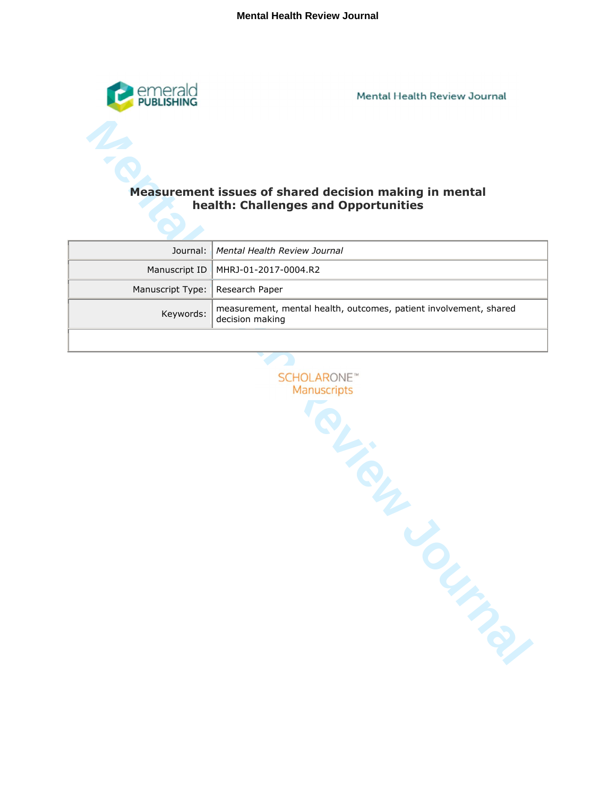

Mental Health Review Journal

# **health: Challenges and Opportunities**

|                                   | Journal:   Mental Health Review Journal                                                        |
|-----------------------------------|------------------------------------------------------------------------------------------------|
|                                   | Manuscript ID   MHRJ-01-2017-0004.R2                                                           |
| Manuscript Type:   Research Paper |                                                                                                |
|                                   | measurement, mental health, outcomes, patient involvement, shared<br>Keywords: decision making |
|                                   |                                                                                                |

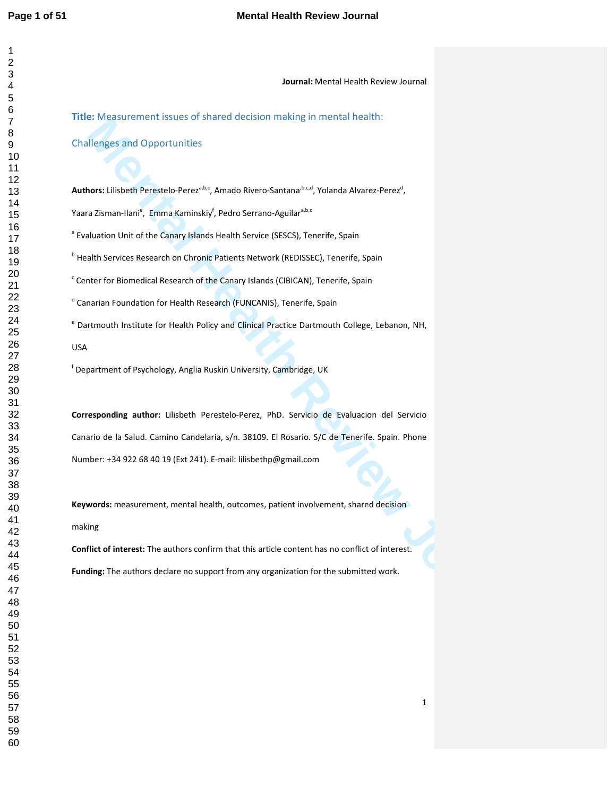| $\overline{ }$        |
|-----------------------|
|                       |
|                       |
|                       |
|                       |
|                       |
|                       |
|                       |
|                       |
|                       |
|                       |
|                       |
|                       |
|                       |
|                       |
|                       |
|                       |
|                       |
|                       |
|                       |
|                       |
|                       |
|                       |
|                       |
|                       |
|                       |
|                       |
|                       |
|                       |
|                       |
|                       |
|                       |
|                       |
|                       |
|                       |
|                       |
|                       |
|                       |
|                       |
|                       |
|                       |
|                       |
|                       |
|                       |
|                       |
|                       |
|                       |
|                       |
| $^{40}$               |
| 41                    |
|                       |
| $\overline{4}$        |
| 4:                    |
| 44                    |
| 45                    |
|                       |
| 4                     |
| $\overline{4}$        |
| 48                    |
| 49                    |
|                       |
| 50                    |
|                       |
| 51                    |
|                       |
| 5:                    |
| $5\overline{)}$<br>\$ |
| 54<br>$\mathfrak{c}$  |
| .<br>55               |
|                       |
| 56                    |
| 57                    |
| 58<br>59              |

### **Journal:** Mental Health Review Journal

**Title:** Measurement issues of shared decision making in mental health:

# Challenges and Opportunities

Authors: Lilisbeth Perestelo-Perez<sup>a,b,c</sup>, Amado Rivero-Santana<sup>,b,c,d</sup>, Yolanda Alvarez-Perez<sup>d</sup>,

Yaara Zisman-Ilani<sup>e</sup>, Emma Kaminskiy<sup>f</sup>, Pedro Serrano-Aguilar<sup>a,b,c</sup>

<sup>a</sup> Evaluation Unit of the Canary Islands Health Service (SESCS), Tenerife, Spain

**b** Health Services Research on Chronic Patients Network (REDISSEC), Tenerife, Spain

<sup>c</sup> Center for Biomedical Research of the Canary Islands (CIBICAN), Tenerife, Spain

<sup>d</sup> Canarian Foundation for Health Research (FUNCANIS), Tenerife, Spain

<sup>e</sup> Dartmouth Institute for Health Policy and Clinical Practice Dartmouth College, Lebanon, NH,

USA

f Department of Psychology, Anglia Ruskin University, Cambridge, UK

**E.** Messaurement is soles of state to utchold inhabity in finite from the submitted and Opportunities<br> **Mental Health Review American**<br> **Mental Health Review Bandwidters**<br> **Altaited Mental Action State Review Journal Acti Corresponding author:** Lilisbeth Perestelo-Perez, PhD. Servicio de Evaluacion del Servicio Canario de la Salud. Camino Candelaria, s/n. 38109. El Rosario. S/C de Tenerife. Spain. Phone Number: +34 922 68 40 19 (Ext 241). E-mail: lilisbethp@gmail.com

**Keywords:** measurement, mental health, outcomes, patient involvement, shared decision making

**Conflict of interest:** The authors confirm that this article content has no conflict of interest. **Funding:** The authors declare no support from any organization for the submitted work.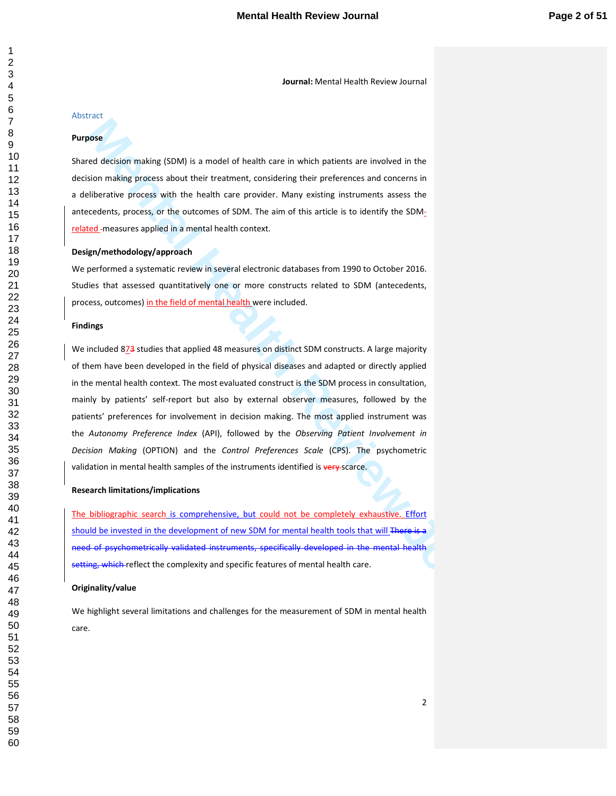# Abstract

#### **Purpose**

Shared decision making (SDM) is a model of health care in which patients are involved in the decision making process about their treatment, considering their preferences and concerns in a deliberative process with the health care provider. Many existing instruments assess the antecedents, process, or the outcomes of SDM. The aim of this article is to identify the SDMrelated measures applied in a mental health context.

### **Design/methodology/approach**

We performed a systematic review in several electronic databases from 1990 to October 2016. Studies that assessed quantitatively one or more constructs related to SDM (antecedents, process, outcomes) in the field of mental health were included.

#### **Findings**

**Mental Mental Mental Mental Mental Mental Mental Mental Mental Mental Mental Mental Mental Mental Mental Mental Mental Mental Mental Mental Mental Mental Mental Mental Mental Mental Mental Mental Mental Review Journal Men** We included 873 studies that applied 48 measures on distinct SDM constructs. A large majority of them have been developed in the field of physical diseases and adapted or directly applied in the mental health context. The most evaluated construct is the SDM process in consultation, mainly by patients' self-report but also by external observer measures, followed by the patients' preferences for involvement in decision making. The most applied instrument was the *Autonomy Preference Index* (API), followed by the *Observing Patient Involvement in Decision Making* (OPTION) and the *Control Preferences Scale* (CPS). The psychometric validation in mental health samples of the instruments identified is very-scarce.

#### **Research limitations/implications**

The bibliographic search is comprehensive, but could not be completely exhaustive. Effort should be invested in the development of new SDM for mental health tools that will There is a need of psychometrically validated instruments, specifically developed in the mental health setting, which reflect the complexity and specific features of mental health care.

#### **Originality/value**

We highlight several limitations and challenges for the measurement of SDM in mental health care.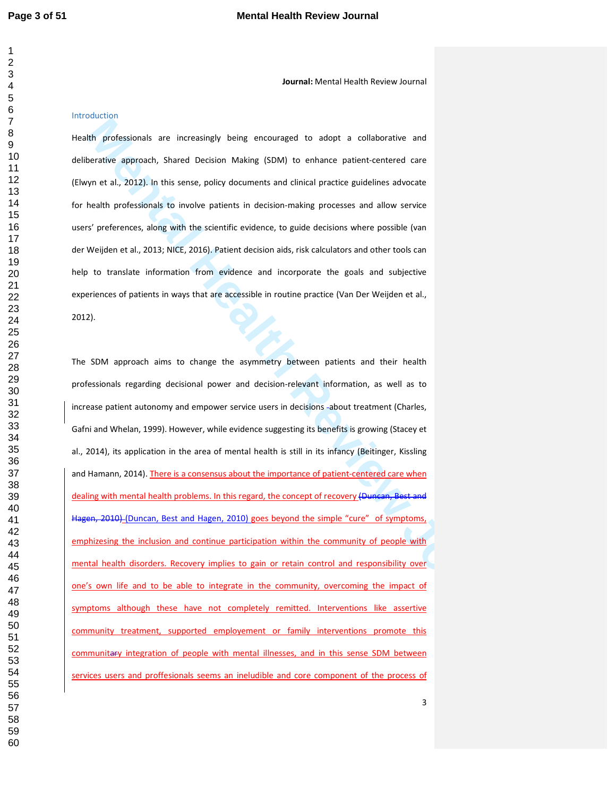### Introduction

Health professionals are increasingly being encouraged to adopt a collaborative and deliberative approach, Shared Decision Making (SDM) to enhance patient-centered care (Elwyn et al., 2012). In this sense, policy documents and clinical practice guidelines advocate for health professionals to involve patients in decision-making processes and allow service users' preferences, along with the scientific evidence, to guide decisions where possible (van der Weijden et al., 2013; NICE, 2016). Patient decision aids, risk calculators and other tools can help to translate information from evidence and incorporate the goals and subjective experiences of patients in ways that are accessible in routine practice (Van Der Weijden et al., 2012).

**MEN professionals are increasingly being encourages to adopt a collaborative and permits opproach, Shared Devision Making (SDM) to enhance patient centered care<br>yn et al., 2012). In this sense, policy documents and dinica** The SDM approach aims to change the asymmetry between patients and their health professionals regarding decisional power and decision-relevant information, as well as to increase patient autonomy and empower service users in decisions -about treatment (Charles, Gafni and Whelan, 1999). However, while evidence suggesting its benefits is growing (Stacey et al., 2014), its application in the area of mental health is still in its infancy (Beitinger, Kissling and Hamann, 2014). There is a consensus about the importance of patient-centered care when dealing with mental health problems. In this regard, the concept of recovery (Duncan, Best and Hagen, 2010) (Duncan, Best and Hagen, 2010) goes beyond the simple "cure" of symptoms, emphizesing the inclusion and continue participation within the community of people with mental health disorders. Recovery implies to gain or retain control and responsibility over one's own life and to be able to integrate in the community, overcoming the impact of symptoms although these have not completely remitted. Interventions like assertive community treatment, supported employement or family interventions promote this communitary integration of people with mental illnesses, and in this sense SDM between services users and proffesionals seems an ineludible and core component of the process of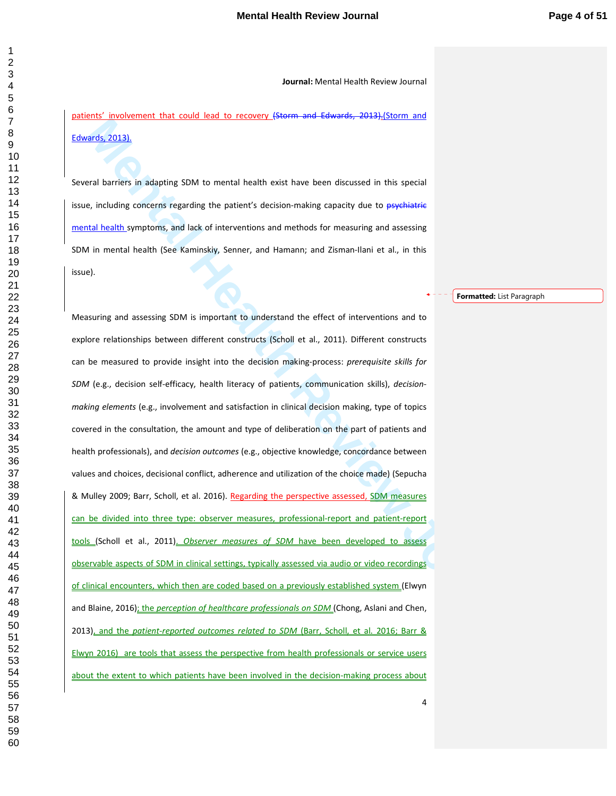patients' involvement that could lead to recovery (Storm and Edwards, 2013). (Storm and Edwards, 2013).

Several barriers in adapting SDM to mental health exist have been discussed in this special issue, including concerns regarding the patient's decision-making capacity due to psychiatric mental health symptoms, and lack of interventions and methods for measuring and assessing SDM in mental health (See Kaminskiy, Senner, and Hamann; and Zisman-Ilani et al., in this issue).

Measuring and assessing SDM is important to understand the effect of interventions and to

**Formatted:** List Paragraph

**Mental Mental Mental Mental Mental Mental Mental Mental Mental Mental Mental Mental Mental Mental Mental Mental Mental Mental Mental Mental Mental Mental Mental Mental Mental Mental Mental Mental Mental Mental Mental Ment** explore relationships between different constructs (Scholl et al., 2011). Different constructs can be measured to provide insight into the decision making-process: *prerequisite skills for SDM* (e.g., decision self-efficacy, health literacy of patients, communication skills), *decisionmaking elements* (e.g., involvement and satisfaction in clinical decision making, type of topics covered in the consultation, the amount and type of deliberation on the part of patients and health professionals), and *decision outcomes* (e.g., objective knowledge, concordance between values and choices, decisional conflict, adherence and utilization of the choice made) (Sepucha & Mulley 2009; Barr, Scholl, et al. 2016). Regarding the perspective assessed, SDM measures can be divided into three type: observer measures, professional-report and patient-report tools (Scholl et al., 2011). *Observer measures of SDM* have been developed to assess observable aspects of SDM in clinical settings, typically assessed via audio or video recordings of clinical encounters, which then are coded based on a previously established system (Elwyn and Blaine, 2016); the *perception of healthcare professionals on SDM* (Chong, Aslani and Chen, 2013), and the *patient-reported outcomes related to SDM* (Barr, Scholl, et al. 2016; Barr & Elwyn 2016) are tools that assess the perspective from health professionals or service users about the extent to which patients have been involved in the decision-making process about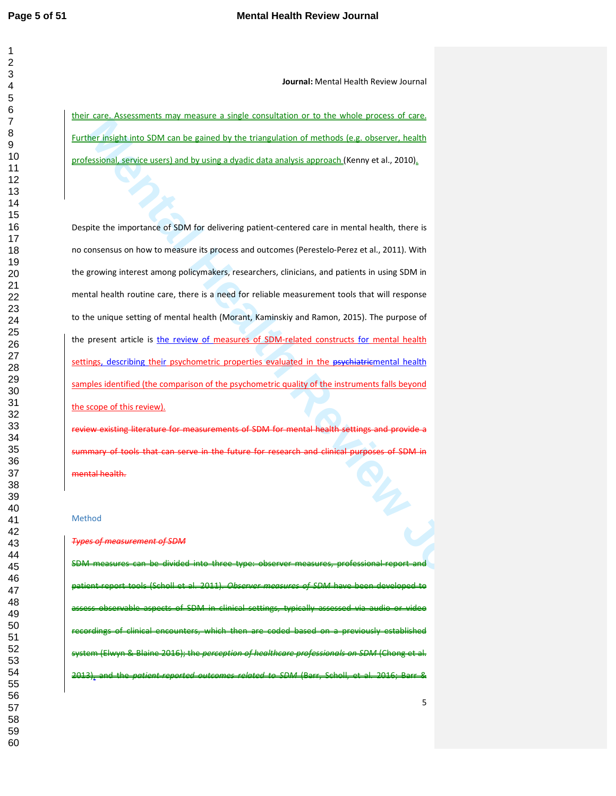**Journal:** Mental Health Review Journal

their care. Assessments may measure a single consultation or to the whole process of care. Further insight into SDM can be gained by the triangulation of methods (e.g. observer, health professional, service users) and by using a dyadic data analysis approach (Kenny et al., 2010).

**Many the state of SDM can be gained by the triangulation of methods (e.g. observer, health)**<br> **Mental Health Review Journal Health Review Inc.**<br> **Mental Health Review Journal Health Review Journal Health Review Journal (N** Despite the importance of SDM for delivering patient-centered care in mental health, there is no consensus on how to measure its process and outcomes (Perestelo-Perez et al., 2011). With the growing interest among policymakers, researchers, clinicians, and patients in using SDM in mental health routine care, there is a need for reliable measurement tools that will response to the unique setting of mental health (Morant, Kaminskiy and Ramon, 2015). The purpose of the present article is the review of measures of SDM-related constructs for mental health settings, describing their psychometric properties evaluated in the psychiatricmental health samples identified (the comparison of the psychometric quality of the instruments falls beyond the scope of this review).

review existing literature for measurements of SDM for mental health settings and provide a nary of tools that can serve in the future for research and clinical purposes mental health.

#### Method

#### *Types of measurement of SDM*

SDM measures can be divided into three type: observer measures, professional-report patient-report tools (Scholl et al. 2011). *Observer measures of SDM* have been developed to assess observable aspects of SDM in clinical settings, typically assessed via audio or video recordings of clinical encounters, which then are coded based on a previously established system (Elwyn & Blaine 2016); the *perception of healthcare professionals on SDM* (Chong et al. 2013), and the *patient-reported outcomes related to SDM* (Barr, Scholl, et al. 2016; Barr &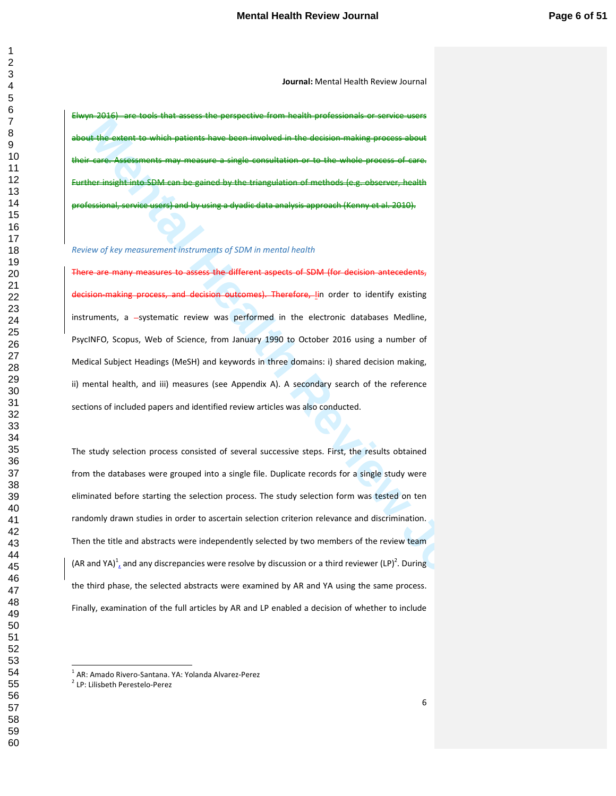Elwyn 2016) are tools that assess the perspective from health professionals or service users the extent to which patients have been involved in the decision-making process about Assessments may measure a single consultation or to the whole process of care. Further insight into SDM can be gained by the triangulation of methods (e.g. observer, health professional, service users) and by using a dyadic data analysis approach (Kenny et al. 2010).

### *Review of key measurement instruments of SDM in mental health*

assess the different aspects of SDM (for decision antecedents, decision making process, and decision outcomes). Therefore, Iin order to identify existing instruments, a --systematic review was performed in the electronic databases Medline, PsycINFO, Scopus, Web of Science, from January 1990 to October 2016 using a number of Medical Subject Headings (MeSH) and keywords in three domains: i) shared decision making, ii) mental health, and iii) measures (see Appendix A). A secondary search of the reference sections of included papers and identified review articles was also conducted.

**Make antises to variate pairwind lines to model and the state of the model of the model of the model of the model of the model of the model of the model of the model of the model of the model of the model of the model of** The study selection process consisted of several successive steps. First, the results obtained from the databases were grouped into a single file. Duplicate records for a single study were eliminated before starting the selection process. The study selection form was tested on ten randomly drawn studies in order to ascertain selection criterion relevance and discrimination. Then the title and abstracts were independently selected by two members of the review team (AR and YA)<sup>1</sup>, and any discrepancies were resolve by discussion or a third reviewer (LP)<sup>2</sup>. During the third phase, the selected abstracts were examined by AR and YA using the same process. Finally, examination of the full articles by AR and LP enabled a decision of whether to include

 1 AR: Amado Rivero-Santana. YA: Yolanda Alvarez-Perez

LP: Lilisbeth Perestelo-Perez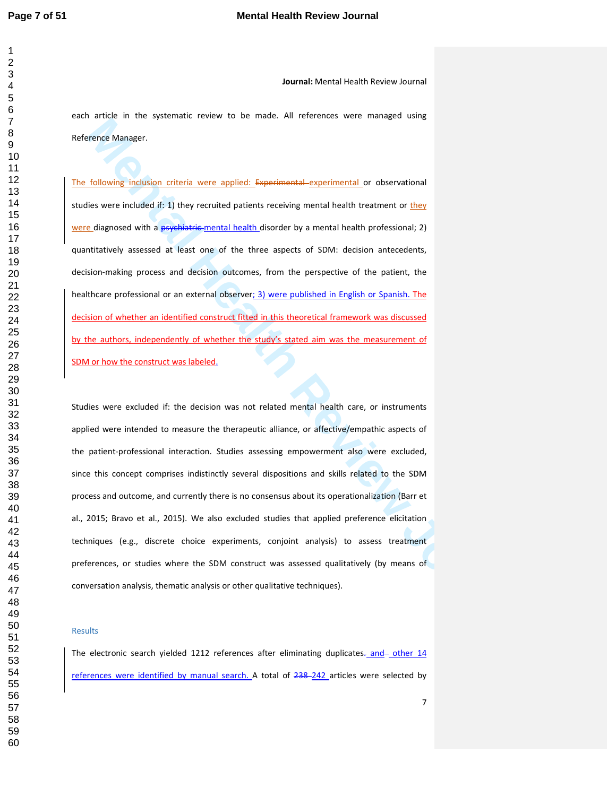each article in the systematic review to be made. All references were managed using Reference Manager.

The following inclusion criteria were applied: Experimental experimental or observational studies were included if: 1) they recruited patients receiving mental health treatment or they were diagnosed with a psychiatric-mental health disorder by a mental health professional; 2) quantitatively assessed at least one of the three aspects of SDM: decision antecedents, decision-making process and decision outcomes, from the perspective of the patient, the healthcare professional or an external observer; 3) were published in English or Spanish. The decision of whether an identified construct fitted in this theoretical framework was discussed by the authors, independently of whether the study's stated aim was the measurement of SDM or how the construct was labeled.

**Mental Mental Mental Mental Mental Mental Mental Mental Mental Mental Mental Mental Mental Mental Mental Mental<br>
<u>Mental Mental Mental Mental Mental Mental Mental Mental Mental Mental Mental Mental Mental Mental Mental Me**</u> Studies were excluded if: the decision was not related mental health care, or instruments applied were intended to measure the therapeutic alliance, or affective/empathic aspects of the patient-professional interaction. Studies assessing empowerment also were excluded, since this concept comprises indistinctly several dispositions and skills related to the SDM process and outcome, and currently there is no consensus about its operationalization (Barr et al., 2015; Bravo et al., 2015). We also excluded studies that applied preference elicitation techniques (e.g., discrete choice experiments, conjoint analysis) to assess treatment preferences, or studies where the SDM construct was assessed qualitatively (by means of conversation analysis, thematic analysis or other qualitative techniques).

#### Results

The electronic search yielded 1212 references after eliminating duplicates- and other 14 references were identified by manual search. A total of 238-242 articles were selected by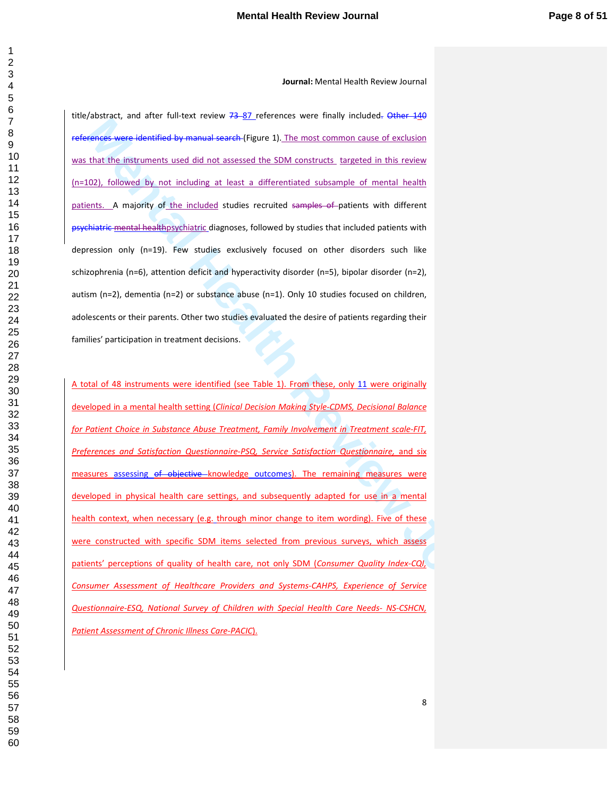title/abstract, and after full-text review 73-87 references were finally included. Other 140 references were identified by manual search (Figure 1). The most common cause of exclusion was that the instruments used did not assessed the SDM constructs targeted in this review (n=102), followed by not including at least a differentiated subsample of mental health patients. A majority of the included studies recruited samples of patients with different psychiatric mental healthpsychiatric diagnoses, followed by studies that included patients with depression only (n=19). Few studies exclusively focused on other disorders such like schizophrenia (n=6), attention deficit and hyperactivity disorder (n=5), bipolar disorder (n=2), autism (n=2), dementia (n=2) or substance abuse (n=1). Only 10 studies focused on children, adolescents or their parents. Other two studies evaluated the desire of patients regarding their families' participation in treatment decisions.

**Mental**, the third the three than the state of the the main space of the transformation of the transformation of the main space of excitation that the instruments used diff not assessed in Figure 3.) The most common case A total of 48 instruments were identified (see Table 1). From these, only 11 were originally developed in a mental health setting (*Clinical Decision Making Style-CDMS, Decisional Balance for Patient Choice in Substance Abuse Treatment, Family Involvement in Treatment scale-FIT,*  Preferences and Satisfaction Questionnaire-PSQ, Service Satisfaction Questionnaire, and six measures assessing of objective knowledge outcomes). The remaining measures were developed in physical health care settings, and subsequently adapted for use in a mental health context, when necessary (e.g. through minor change to item wording). Five of these were constructed with specific SDM items selected from previous surveys, which assess patients' perceptions of quality of health care, not only SDM (*Consumer Quality Index-CQI, Consumer Assessment of Healthcare Providers and Systems-CAHPS, Experience of Service Questionnaire-ESQ, National Survey of Children with Special Health Care Needs- NS-CSHCN, Patient Assessment of Chronic Illness Care-PACIC*).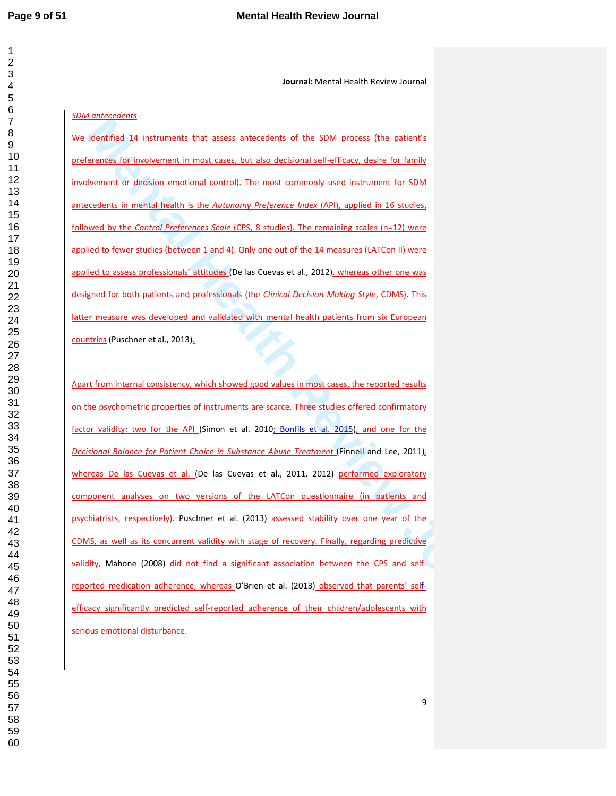L

**Journal:** Mental Health Review Journal

# *SDM antecedents*

We identified 14 instruments that assess antecedents of the SDM process (the patient's preferences for involvement in most cases, but also decisional self-efficacy, desire for family involvement or decision emotional control). The most commonly used instrument for SDM antecedents in mental health is the *Autonomy Preference Index* (API), applied in 16 studies, followed by the *Control Preferences Scale* (CPS, 8 studies). The remaining scales (n=12) were applied to fewer studies (between 1 and 4). Only one out of the 14 measures (LATCon II) were applied to assess professionals' attitudes (De las Cuevas et al., 2012), whereas other one was designed for both patients and professionals (the *Clinical Decision Making Style*, CDMS). This latter measure was developed and validated with mental health patients from six European countries (Puschner et al., 2013).

**Mentine 12.** Instruments that assess antecedents of the SOM process the patient's<br>terminal last insulation emultipant amount cases, but also derivated definitions, device for family<br>terminal last insulation emultipant con Apart from internal consistency, which showed good values in most cases, the reported results on the psychometric properties of instruments are scarce. Three studies offered confirmatory factor validity: two for the API (Simon et al. 2010; Bonfils et al. 2015), and one for the *Decisional Balance for Patient Choice in Substance Abuse Treatment* (Finnell and Lee, 2011)*,*  whereas De las Cuevas et al. (De las Cuevas et al., 2011, 2012) performed exploratory component analyses on two versions of the LATCon questionnaire (in patients and psychiatrists, respectively). Puschner et al. (2013) assessed stability over one year of the CDMS, as well as its concurrent validity with stage of recovery. Finally, regarding predictive validity, Mahone (2008) did not find a significant association between the CPS and selfreported medication adherence, whereas O'Brien et al. (2013) observed that parents' selfefficacy significantly predicted self-reported adherence of their children/adolescents with serious emotional disturbance.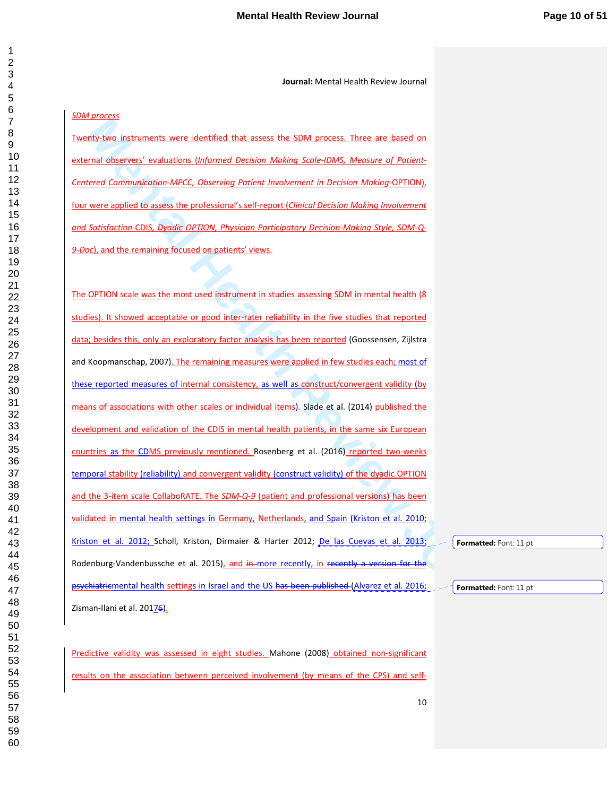# *SDM process*

Twenty-two instruments were identified that assess the SDM process. Three are based on external observers' evaluations (*Informed Decision Making Scale-IDMS, Measure of Patient-Centered Communication-MPCC, Observing Patient Involvement in Decision Making-*OPTION), four were applied to assess the professional's self-report (*Clinical Decision Making Involvement and Satisfaction-*CDIS*, Dyadic OPTION, Physician Participatory Decision-Making Style, SDM-Q-9-Doc*), and the remaining focused on patients' views.

**Manual Health Review Standard Transformation** and the standard Manual Manual Manual Manual Manual Manual Manua<br>
Mental Manual Manual Manual Manual Manual Manual Scale (DMS, Mensura of Policin<br>
Mental Communication MPCC, O The OPTION scale was the most used instrument in studies assessing SDM in mental health (8 studies). It showed acceptable or good inter-rater reliability in the five studies that reported data; besides this, only an exploratory factor analysis has been reported (Goossensen, Zijlstra and Koopmanschap, 2007). The remaining measures were applied in few studies each; most of these reported measures of internal consistency, as well as construct/convergent validity (by means of associations with other scales or individual items). Slade et al. (2014) published the development and validation of the CDIS in mental health patients, in the same six European countries as the CDMS previously mentioned. Rosenberg et al. (2016) reported two-weeks temporal stability (reliability) and convergent validity (construct validity) of the dyadic OPTION and the 3-item scale CollaboRATE. The *SDM-Q-9* (patient and professional versions) has been validated in mental health settings in Germany, Netherlands, and Spain (Kriston et al. 2010; Kriston et al. 2012; Scholl, Kriston, Dirmaier & Harter 2012; De las Cuevas et al. 2013; Rodenburg-Vandenbussche et al. 2015), and in-more recently, in recently a version for the psychiatricmental health settings in Israel and the US has been published (Alvarez et al. 2016; Zisman-Ilani et al. 20176).

Predictive validity was assessed in eight studies. Mahone (2008) obtained non-significant results on the association between perceived involvement (by means of the CPS) and self**Formatted:** Font: 11 pt

**Formatted:** Font: 11 pt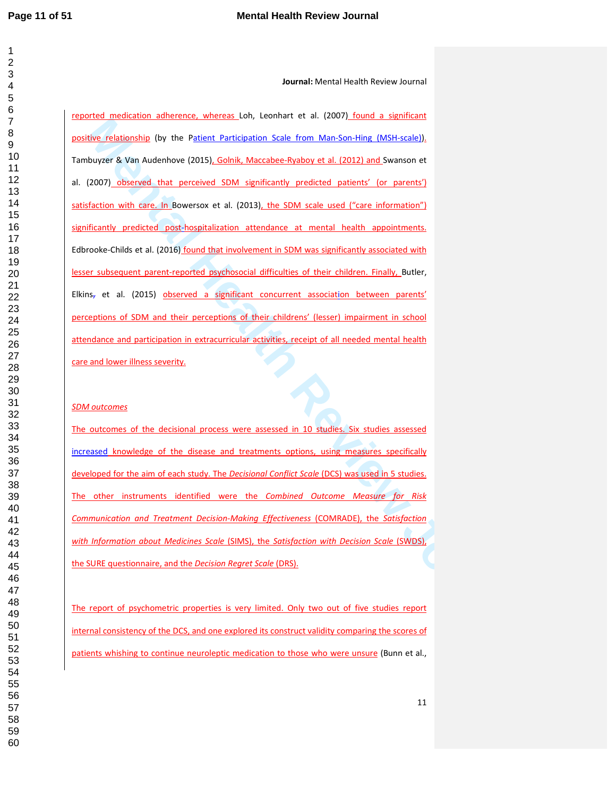**Journal:** Mental Health Review Journal

**Eva relationship (by the Patient Particulation Scale from Manison-Ham (MSH-2024),**<br>We relationship (by the Patient Particulation Scale from Manison-Ham (MSH-2024),<br>Monorer & Van Audenbore (2015), <u>Goodis, Manazine Replace</u> reported medication adherence, whereas Loh, Leonhart et al. (2007) found a significant positive relationship (by the Patient Participation Scale from Man-Son-Hing (MSH-scale)). Tambuyzer & Van Audenhove (2015), Golnik, Maccabee-Ryaboy et al. (2012) and Swanson et al. (2007) observed that perceived SDM significantly predicted patients' (or parents') satisfaction with care. In Bowersox et al. (2013), the SDM scale used ("care information") significantly predicted post-hospitalization attendance at mental health appointments. Edbrooke-Childs et al. (2016) found that involvement in SDM was significantly associated with lesser subsequent parent-reported psychosocial difficulties of their children. Finally, Butler,  $E$ lkins<sub>7</sub> et al. (2015) observed a significant concurrent association between parents' perceptions of SDM and their perceptions of their childrens' (lesser) impairment in school attendance and participation in extracurricular activities, receipt of all needed mental health care and lower illness severity.

# *SDM outcomes*

The outcomes of the decisional process were assessed in 10 studies. Six studies assessed increased knowledge of the disease and treatments options, using measures specifically developed for the aim of each study. The *Decisional Conflict Scale* (DCS) was used in 5 studies. The other instruments identified were the *Combined Outcome Measure for Risk Communication and Treatment Decision-Making Effectiveness* (COMRADE), the *Satisfaction with Information about Medicines Scale* (SIMS), the *Satisfaction with Decision Scale* (SWDS), the SURE questionnaire, and the *Decision Regret Scale* (DRS).

The report of psychometric properties is very limited. Only two out of five studies report internal consistency of the DCS, and one explored its construct validity comparing the scores of patients whishing to continue neuroleptic medication to those who were unsure (Bunn et al.,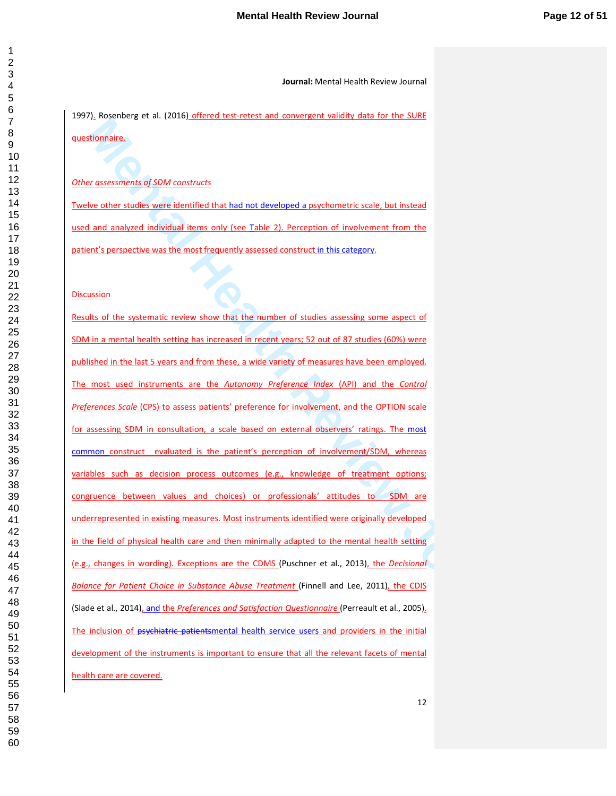1997). Rosenberg et al. (2016) offered test-retest and convergent validity data for the SURE questionnaire.

*Other assessments of SDM constructs*

Twelve other studies were identified that had not developed a psychometric scale, but instead used and analyzed individual items only (see Table 2). Perception of involvement from the patient's perspective was the most frequently assessed construct in this category.

**Discussion** 

**Mental Health Review Journal** Results of the systematic review show that the number of studies assessing some aspect of SDM in a mental health setting has increased in recent years; 52 out of 87 studies (60%) were published in the last 5 years and from these, a wide variety of measures have been employed. The most used instruments are the *Autonomy Preference Index* (API) and the *Control Preferences Scale* (CPS) to assess patients' preference for involvement, and the OPTION scale for assessing SDM in consultation, a scale based on external observers' ratings. The most common construct evaluated is the patient's perception of involvement/SDM, whereas variables such as decision process outcomes (e.g., knowledge of treatment options; congruence between values and choices) or professionals' attitudes to SDM are underrepresented in existing measures. Most instruments identified were originally developed in the field of physical health care and then minimally adapted to the mental health setting (e.g., changes in wording). Exceptions are the CDMS (Puschner et al., 2013), the *Decisional Balance for Patient Choice in Substance Abuse Treatment* (Finnell and Lee, 2011), the CDIS (Slade et al., 2014), and the *Preferences and Satisfaction Questionnaire* (Perreault et al., 2005). The inclusion of psychiatric patientsmental health service users and providers in the initial development of the instruments is important to ensure that all the relevant facets of mental health care are covered.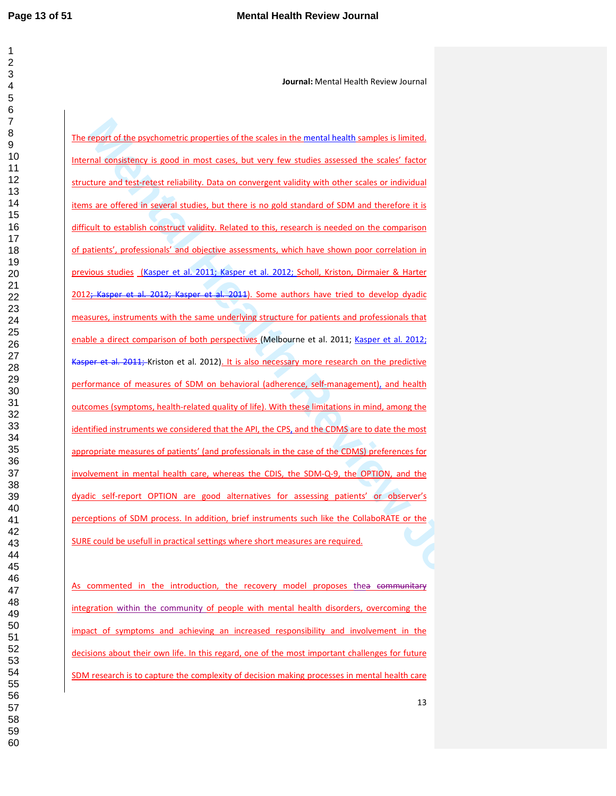**Journal:** Mental Health Review Journal

**Menotion of the prophone and properties of the scales in the mental health samples is limited,**<br>mel dimeksinesy is sood in most cases, but seen less standard assessed the scales' factor<br>to the sample form and the scale of The report of the psychometric properties of the scales in the mental health samples is limited. Internal consistency is good in most cases, but very few studies assessed the scales' factor structure and test-retest reliability. Data on convergent validity with other scales or individual items are offered in several studies, but there is no gold standard of SDM and therefore it is difficult to establish construct validity. Related to this, research is needed on the comparison of patients', professionals' and objective assessments, which have shown poor correlation in previous studies (Kasper et al. 2011; Kasper et al. 2012; Scholl, Kriston, Dirmaier & Harter 2012; Kasper et al. 2012; Kasper et al. 2011). Some authors have tried to develop dyadic measures, instruments with the same underlying structure for patients and professionals that enable a direct comparison of both perspectives (Melbourne et al. 2011; Kasper et al. 2012; Kasper et al. 2011; Kriston et al. 2012). It is also necessary more research on the predictive performance of measures of SDM on behavioral (adherence, self-management), and health outcomes (symptoms, health-related quality of life). With these limitations in mind, among the identified instruments we considered that the API, the CPS, and the CDMS are to date the most appropriate measures of patients' (and professionals in the case of the CDMS) preferences for involvement in mental health care, whereas the CDIS, the SDM-Q-9, the OPTION, and the dyadic self-report OPTION are good alternatives for assessing patients' or observer's perceptions of SDM process. In addition, brief instruments such like the CollaboRATE or the SURE could be usefull in practical settings where short measures are required.

As commented in the introduction, the recovery model proposes thea communitary integration within the community of people with mental health disorders, overcoming the impact of symptoms and achieving an increased responsibility and involvement in the decisions about their own life. In this regard, one of the most important challenges for future SDM research is to capture the complexity of decision making processes in mental health care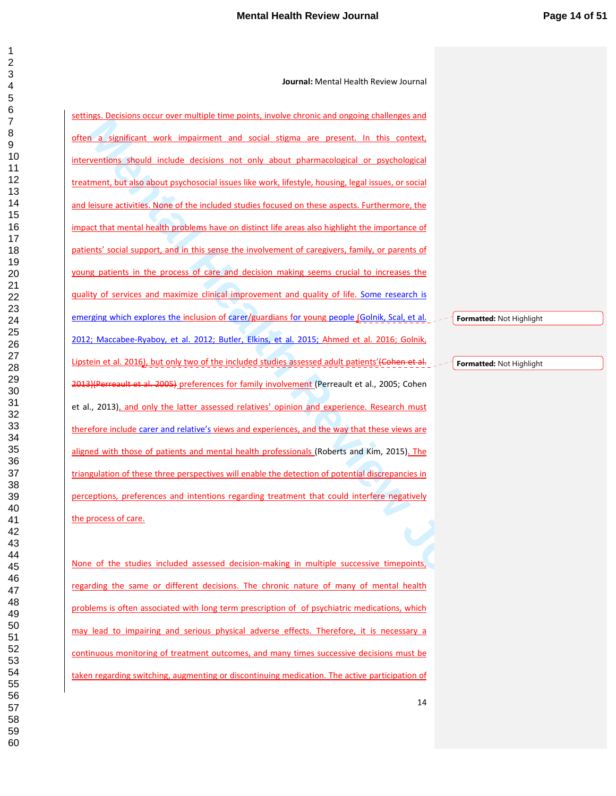**Manufacture of the manufacture of the manufacture of the manufacture of the manufacture of the manufacture of the manufacture of the manufacture of the manufacture of the manufacture of the manufacture of the manufacture** settings. Decisions occur over multiple time points, involve chronic and ongoing challenges and often a significant work impairment and social stigma are present. In this context, interventions should include decisions not only about pharmacological or psychological treatment, but also about psychosocial issues like work, lifestyle, housing, legal issues, or social and leisure activities. None of the included studies focused on these aspects. Furthermore, the impact that mental health problems have on distinct life areas also highlight the importance of patients' social support, and in this sense the involvement of caregivers, family, or parents of young patients in the process of care and decision making seems crucial to increases the quality of services and maximize clinical improvement and quality of life. Some research is emerging which explores the inclusion of carer/guardians for young people (Golnik, Scal, et al. 2012; Maccabee-Ryaboy, et al. 2012; Butler, Elkins, et al. 2015; Ahmed et al. 2016; Golnik, Lipstein et al. 2016), but only two of the included studies assessed adult patients' (Cohen et al. 2013)(Perreault et al. 2005) preferences for family involvement (Perreault et al., 2005; Cohen et al., 2013), and only the latter assessed relatives' opinion and experience. Research must therefore include carer and relative's views and experiences, and the way that these views are aligned with those of patients and mental health professionals (Roberts and Kim, 2015). The triangulation of these three perspectives will enable the detection of potential discrepancies in perceptions, preferences and intentions regarding treatment that could interfere negatively the process of care.

None of the studies included assessed decision-making in multiple successive timepoints, regarding the same or different decisions. The chronic nature of many of mental health problems is often associated with long term prescription of of psychiatric medications, which may lead to impairing and serious physical adverse effects. Therefore, it is necessary a continuous monitoring of treatment outcomes, and many times successive decisions must be taken regarding switching, augmenting or discontinuing medication. The active participation of

**Formatted:** Not Highlight

**Formatted:** Not Highlight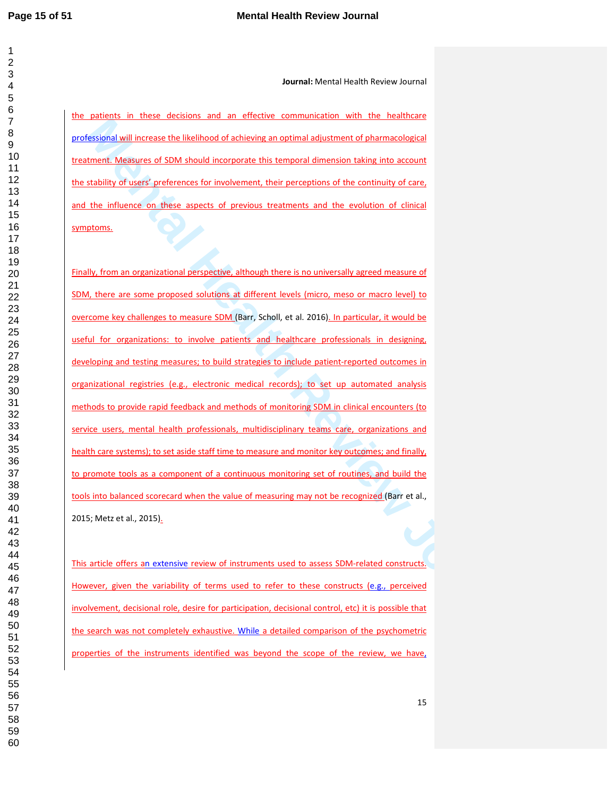**Journal:** Mental Health Review Journal

the patients in these decisions and an effective communication with the healthcare professional will increase the likelihood of achieving an optimal adjustment of pharmacological treatment. Measures of SDM should incorporate this temporal dimension taking into account the stability of users' preferences for involvement, their perceptions of the continuity of care, and the influence on these aspects of previous treatments and the evolution of clinical symptoms.

**Mental Mental Mental Mental Mental Mental Mental Mental Mental Mental Mental Mental Mental Mental Mental Mental<br>
Mental Mental Mental Mental Mental Mental Mental Mental Mental Mental Mental Mental Mental Mental Mental Men** Finally, from an organizational perspective, although there is no universally agreed measure of SDM, there are some proposed solutions at different levels (micro, meso or macro level) to overcome key challenges to measure SDM (Barr, Scholl, et al. 2016). In particular, it would be useful for organizations: to involve patients and healthcare professionals in designing, developing and testing measures; to build strategies to include patient-reported outcomes in organizational registries (e.g., electronic medical records); to set up automated analysis methods to provide rapid feedback and methods of monitoring SDM in clinical encounters (to service users, mental health professionals, multidisciplinary teams care, organizations and health care systems); to set aside staff time to measure and monitor key outcomes; and finally, to promote tools as a component of a continuous monitoring set of routines, and build the tools into balanced scorecard when the value of measuring may not be recognized (Barr et al., 2015; Metz et al., 2015).

This article offers an extensive review of instruments used to assess SDM-related constructs. However, given the variability of terms used to refer to these constructs (e.g., perceived involvement, decisional role, desire for participation, decisional control, etc) it is possible that the search was not completely exhaustive. While a detailed comparison of the psychometric properties of the instruments identified was beyond the scope of the review, we have,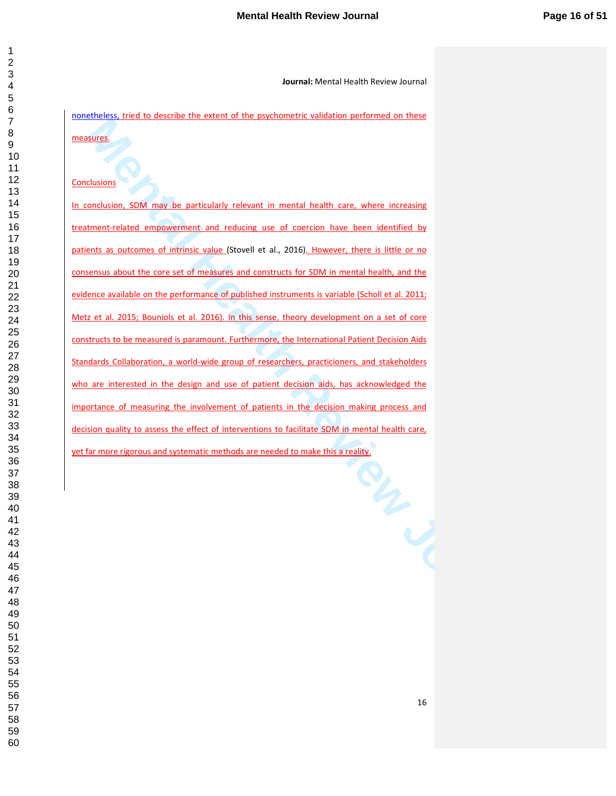nonetheless, tried to describe the extent of the psychometric validation performed on these measures.

# **Conclusions**

**Manuel Manuel Manuel Manuel Manuel Manuel Manuel Manuel Manuel Manuel Manuel Manuel Manuel Manuel Manuel Manuel Manuel Manuel Manuel Manuel Manuel Manuel Manuel Manuel Manuel Manuel Manuel Manuel Manuel Manuel Manuel Manu** In conclusion, SDM may be particularly relevant in mental health care, where increasing treatment-related empowerment and reducing use of coercion have been identified by patients as outcomes of intrinsic value (Stovell et al., 2016). However, there is little or no consensus about the core set of measures and constructs for SDM in mental health, and the evidence available on the performance of published instruments is variable (Scholl et al. 2011; Metz et al. 2015; Bouniols et al. 2016). In this sense, theory development on a set of core constructs to be measured is paramount. Furthermore, the International Patient Decision Aids Standards Collaboration, a world-wide group of researchers, practicioners, and stakeholders who are interested in the design and use of patient decision aids, has acknowledged the importance of measuring the involvement of patients in the decision making process and decision quality to assess the effect of interventions to facilitate SDM in mental health care, yet far more rigorous and systematic methods are needed to make this a reality.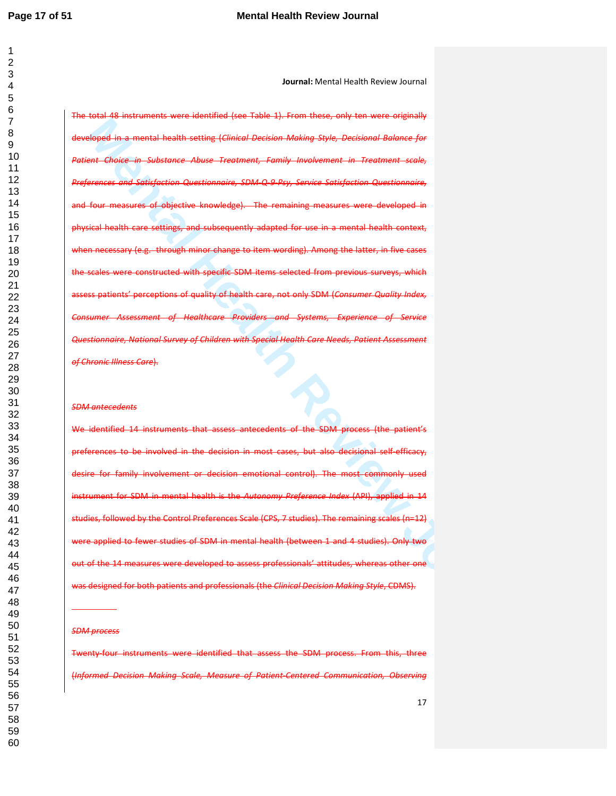**Journal:** Mental Health Review Journal

**Montana Mention Constraint Constraint Constraint Constraint Constraint Constraint Constraint Constraint Constr<br>Experience of the interaction of the stating Constraint Constraint Constraint Constraint Constraint Constraint** The total 48 instruments were identified (see Table 1). From these, only ten were originally a mental health setting (*Clinical Decision Making Style, Decisional Balance Patient Choice in Substance Abuse Treatment, Family Involvement in Treatment scale, Preferences and Satisfaction Questionnaire, SDM-Q-9-Psy, Service Satisfaction Questionnaire,*  measures of objective knowledge). The remaining measures were developed in physical health care settings, and subsequently adapted for use in a mental health context, through minor change to item wording). the scales were constructed with specific SDM items assess patients' perceptions of quality of health care, not only SDM (*Consumer Quality Index,*  **Consumer Assessment of Healthcare Providers and Systems,** *Questionnaire, National Survey of Children with Special Health Care Needs, Patient Assessment of Chronic Illness Care*).

#### *SDM antecedents*

We identified 14 instruments that assess antecedents of the SDM process (the patient's preferences to be involved in the decision in most cases, but also decisional self-efficacy, for family involvement or decision emotional control). The most commonly used ment for SDM in mental health is the *Autonomy Preference Index* (API), applied in studies, followed by the Control Preferences Scale (CPS, 7 studies). The remaining scales (n=12) applied to fewer studies of SDM in mental health (between 1 and 4 studies). Only two out of the 14 measures were developed to assess professionals' attitudes, whereas other one was designed for both patients and professionals (the *Clinical Decision Making Style*, CDMS).

#### *SDM process*

j

instruments were identified that assess the SDM process. From this, three (*Informed Decision Making Scale, Measure of Patient-Centered Communication, Observing*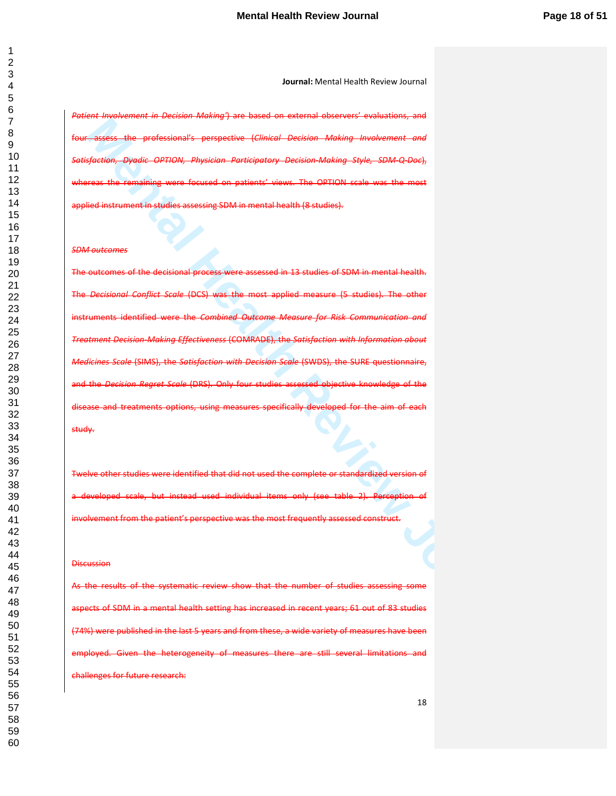*Patient Involvement in Decision Making'*) are based on external observers' evaluations, and professional's perspective (Clinical Decision Making Involvement *Satisfaction, Dyadic OPTION, Physician Participatory Decision-Making Style, SDM-Q-Doc*), whereas the remaining were focused on patients' views. The OPTION scale was the most ed instrument in studies assessing SDM in mental health (8 studies).

#### *SDM outcomes*

**Metal Mental Mental Mental Mental Mental Mental Mental Mental Mental Mental Mental Mental Mental Mental Mental<br>
Mental Review Department Properties (Circuit Decision Mental System Load Company Constrained Mental Mental Me** The outcomes of the decisional process were assessed in 13 studies of SDM in mental health. Conflict Scale (DCS) was the most applied instruments identified were the *Combined Outcome Measure for Risk Communication and Treatment Decision-Making Effectiveness* (COMRADE), the *Satisfaction with Information about Medicines Scale* (SIMS), the *Satisfaction with Decision Scale* (SWDS), the SURE questionnaire, and the *Decision Regret Scale* (DRS). Only four studies assessed objective knowledge disease and treatments options, using measures specifically developed for the aim of each study.

Twelve other studies were identified that did not used the complete or standardized version of a developed scale, but instead used individual items only (see table 2). Perception involvement from the patient's perspective was the most frequently assessed construct.

#### **Discussion**

the results of the systematic review show that the number of studies assessing some ts of SDM in a mental health setting has increased in recent years; 61 out of 83 studies were published in the last 5 years and from these, a wide variety of measures have been heterogeneity of measures there are still several limitations nges for future research: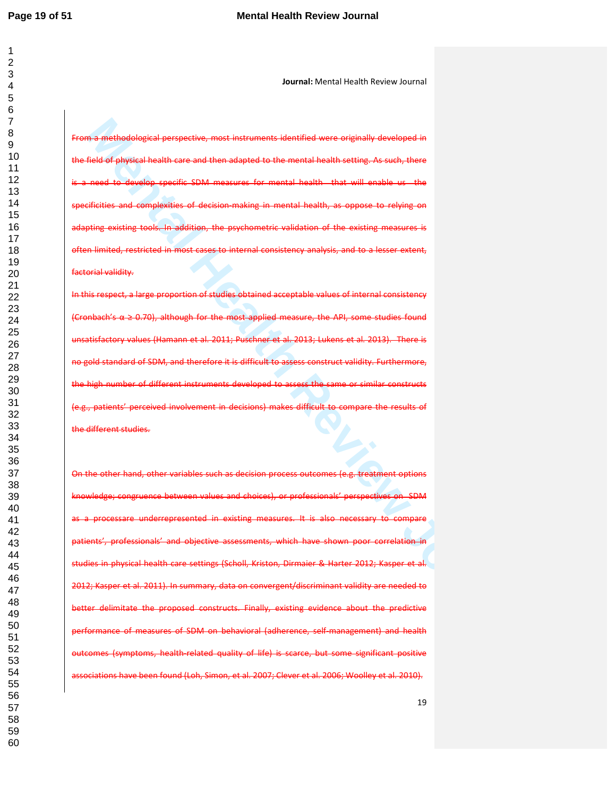**Journal:** Mental Health Review Journal

From a methodological perspective, most instruments identified were originally developed in the field of physical health care and then adapted to the mental health setting. As such, there need to develop specific SDM measures for mental health that will enable us the specificities and complexities of decision-making in mental health, as oppose to relying on adapting existing tools. In addition, the psychometric validation of the existing measures is limited, restricted in most cases to internal consistency analysis, and to factorial validity.

In this respect, a large proportion of studies obtained acceptable values (Cronbach's  $\alpha \geq 0.70$ ), although for the most applied measure, the API, some studies found unsatisfactory values (Hamann et al. 2011; Puschner et al. 2013; Lukens et al. 2013). There is de standard of SDM, and therefore it is difficult to assess construct validity. Furthermore, the high number of different instruments developed to assess the s (e.g., patients' perceived involvement in decisions) makes difficult to compare the results of the different studies.

**Ma methodological perspective, most instruments identifies were originally developed in**<br>Tipskai physical lucella care and then adapted to the mental mothic line. As well-phase and physical lucella care<br>and -to develop re On the other hand, other variables such as decision process outcomes (e.g. treatment options dge; congruence between values and choices), or professionals' perspectives on SDM processare underrepresented in existing measures. It is also nts', professionals' and objective assessments, which have studies in physical health care settings (Scholl, Kriston, Dirmaier & Harter 2012; 2012; Kasper et al. 2011). In summary, data on convergent/discriminant validity are needed to delimitate the proposed constructs. Finally, existing evidence about the predictive performance of measures of SDM on behavioral (adherence, self-management) and health (symptoms, health-related quality of life) is scarce, but some significant positive have been found (Loh, Simon, et al. 2007; Clever et al. 2006; Woolley et al. 2010).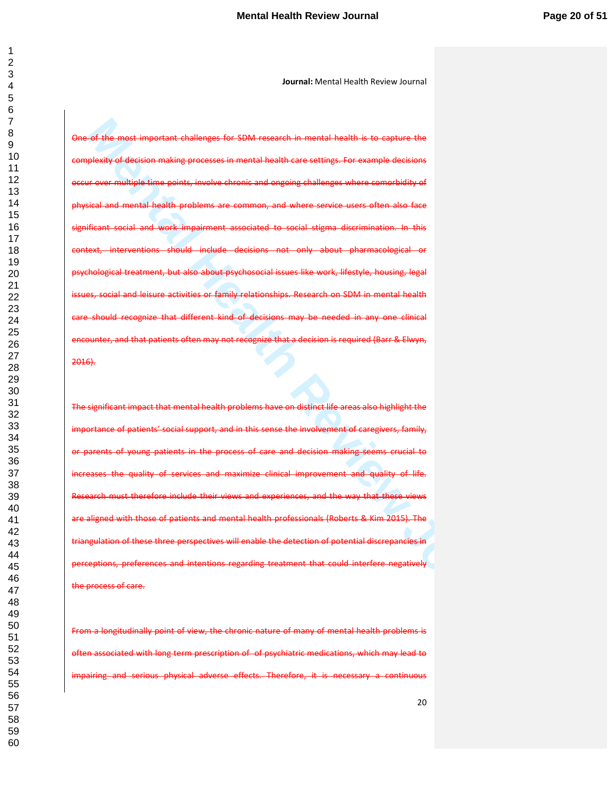**Mental important challenges (or SDM research in mental health is to capture the plastic mental health Review Journal Mental Institute (i.e., and important mental health Review Journal Mental Institute (i.e., and increase** One of the most important challenges for SDM research in mental health is to capture the complexity of decision making processes in mental health care settings. For example decisions occur over multiple time points, involve chronic and ongoing challenges where comorbidity of physical and mental health problems are common, and where service users often also face significant social and work impairment associated to social stigma discrimination. In this context, interventions should include decisions not only about pharmacological or also about psychosocial issues like work, lifestyle, housing, and leisure activities or family relationships. Research on SDM in mental health should recognize that different kind of decisions may be needed in any one clinical encounter, and that patients often may not recognize that a decision is required (Barr & Elwyn, 2016).

The significant impact that mental health problems have on distinct life areas also highlight the importance of patients' social support, and in this sense the involvement of caregivers, family, or parents of young patients in the process of care and decision making seems crucial to quality of services and maximize clinical improvement and quality of life. therefore include their views and experiences, and the way that these aranged with those of patients and mental health professionals (Roberts & Kim 2015). The tulation of these three perspectives will enable the detection of potential discrepancies in ceptions, preferences and intentions regarding treatment that could interfere negatively the process of care.

From a longitudinally point of view, the chronic nature of many of mental health problems is associated with long term prescription of of psychiatric medications, which may lead to serious physical adverse effects. Therefore, it is necessary a continuous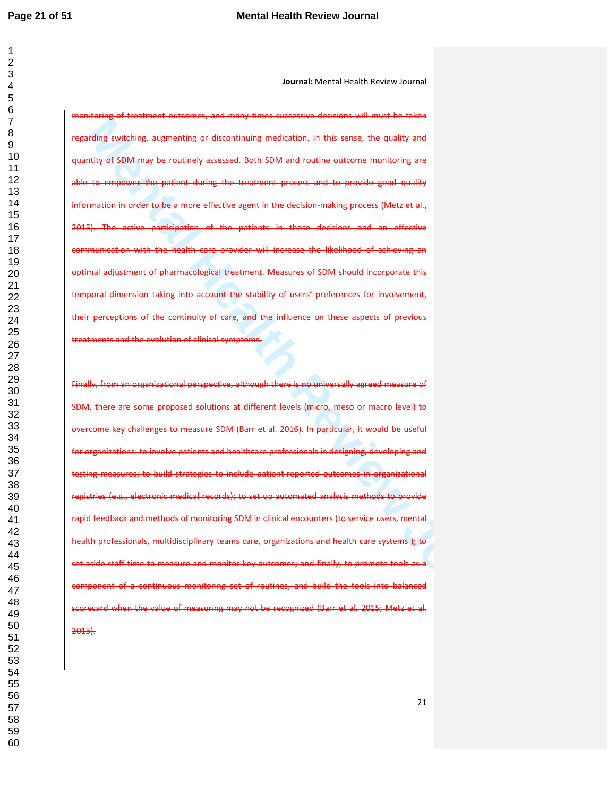**Journal:** Mental Health Review Journal

monitoring of treatment outcomes, and many times successive decisions will must be taken ding switching, augmenting or discontinuing medication. In this sense, the quality quantity of SDM may be routinely assessed. Both SDM and routine outcome monitoring are to empower the patient during the treatment process and to provide good quality information in order to be a more effective agent in the decision-making process (Metz et al., 2015). The active participation of the patients in these decisions and an effective unication with the health care provider will increase the likelihood of achieving adjustment of pharmacological treatment. taking into account the stability of users' preferences their perceptions of the continuity of care, and the influence on these aspects of previous treatments and the evolution of clinical symptoms.

**Mental Health Review Journal American State Control and The Control and The Control and State American State Control and State American State Control and State American State Control and State American State Control and S** Finally, from an organizational perspective, although there is no universally agreed measure of SDM, there are some proposed solutions at different levels (micro, meso or macro level) to overcome key challenges to measure SDM (Barr et al. 2016). In particular, it would be useful organizations: to involve patients and healthcare professionals in designing, developing and testing measures; to build strategies to include patient-reported outcomes in organizational ies (e.g., electronic medical records); to set up automated analysis methods to provide rapid feedback and methods of monitoring SDM in clinical encounters (to service users, mental health professionals, multidisciplinary teams care, organizations and health care systems ); to set aside staff time to measure and monitor key outcomes; and finally, to promote tools as a component of a continuous monitoring set of routines, and build the tools into balanced scorecard when the value of measuring may not be recognized (Barr et al. 2015; Metz et al. 2015).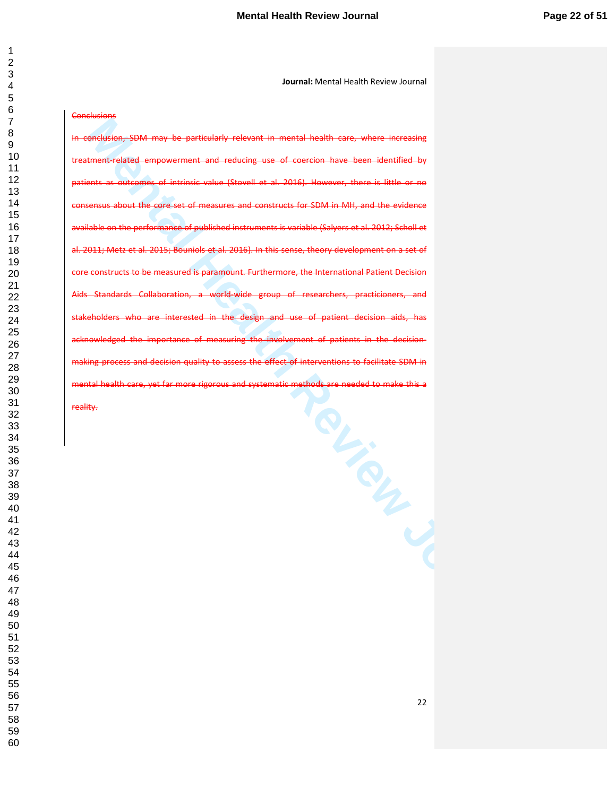### **Conclusions**

**Manual Manual Health Review Journal in the main install health Care, where increasing**<br>Consideration SDM may be particularly relevant in mental health Care, where increasing<br>times and carrier dimensional Health Review Jou In conclusion, SDM may be particularly relevant in mental health care, where increasing empowerment and reducing use of coercion have been identified patients as outcomes of intrinsic value (Stovell et al. 2016). However, there is little or no consensus about the core set of measures and constructs for SDM in MH, and the evidence available on the performance of published instruments is variable (Salyers et al. 2012; Scholl et al. 2011; Metz et al. 2015; Bouniols et al. 2016). In this sense, theory core constructs to be measured is paramount. Furthermore, the International Patient Decision Aids Standards Collaboration, a world-wide stakeholders who are interested in the design and use of patient decision aids acknowledged the importance of measuring the involvement making process and decision quality to assess the effect of interventions to facilitate SDM in mental health care, yet far more rigorous and systematic methods reality.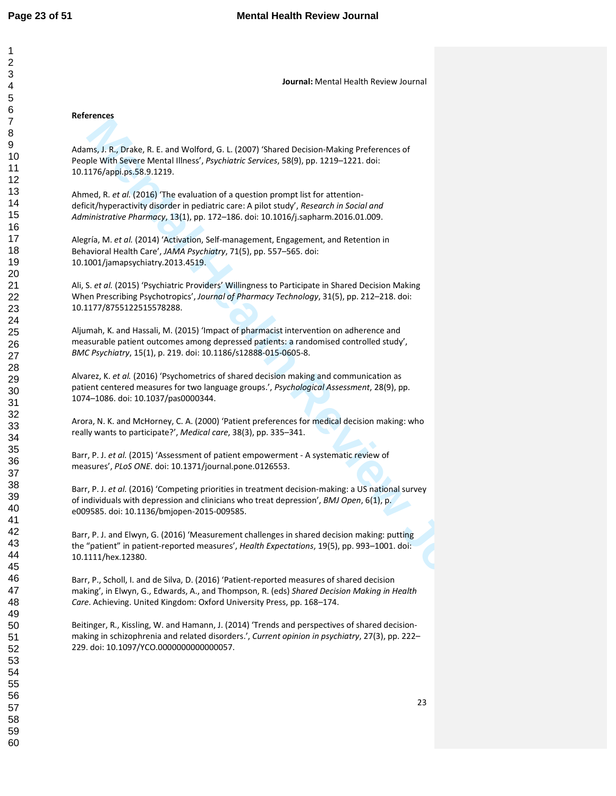### **References**

Adams, J. R., Drake, R. E. and Wolford, G. L. (2007) 'Shared Decision-Making Preferences of People With Severe Mental Illness', *Psychiatric Services*, 58(9), pp. 1219–1221. doi: 10.1176/appi.ps.58.9.1219.

Ahmed, R. *et al.* (2016) 'The evaluation of a question prompt list for attentiondeficit/hyperactivity disorder in pediatric care: A pilot study', *Research in Social and Administrative Pharmacy*, 13(1), pp. 172–186. doi: 10.1016/j.sapharm.2016.01.009.

Alegría, M. *et al.* (2014) 'Activation, Self-management, Engagement, and Retention in Behavioral Health Care', *JAMA Psychiatry*, 71(5), pp. 557–565. doi: 10.1001/jamapsychiatry.2013.4519.

Ali, S. *et al.* (2015) 'Psychiatric Providers' Willingness to Participate in Shared Decision Making When Prescribing Psychotropics', *Journal of Pharmacy Technology*, 31(5), pp. 212–218. doi: 10.1177/8755122515578288.

Aljumah, K. and Hassali, M. (2015) 'Impact of pharmacist intervention on adherence and measurable patient outcomes among depressed patients: a randomised controlled study', *BMC Psychiatry*, 15(1), p. 219. doi: 10.1186/s12888-015-0605-8.

Alvarez, K. *et al.* (2016) 'Psychometrics of shared decision making and communication as patient centered measures for two language groups.', *Psychological Assessment*, 28(9), pp. 1074–1086. doi: 10.1037/pas0000344.

Arora, N. K. and McHorney, C. A. (2000) 'Patient preferences for medical decision making: who really wants to participate?', *Medical care*, 38(3), pp. 335–341.

Barr, P. J. *et al.* (2015) 'Assessment of patient empowerment - A systematic review of measures', *PLoS ONE*. doi: 10.1371/journal.pone.0126553.

**Mental Health Review Journal Mental Mental Detailed (Automating Preferences of the With Severe Mental Illensy, Psychotric Services, 3809), pp. 1219-1221 dot:<br>
He With Severe Mental Illensy, Psychotric Services, 3809), pp.** Barr, P. J. *et al.* (2016) 'Competing priorities in treatment decision-making: a US national survey of individuals with depression and clinicians who treat depression', *BMJ Open*, 6(1), p. e009585. doi: 10.1136/bmjopen-2015-009585.

Barr, P. J. and Elwyn, G. (2016) 'Measurement challenges in shared decision making: putting the "patient" in patient-reported measures', *Health Expectations*, 19(5), pp. 993–1001. doi: 10.1111/hex.12380.

Barr, P., Scholl, I. and de Silva, D. (2016) 'Patient-reported measures of shared decision making', in Elwyn, G., Edwards, A., and Thompson, R. (eds) *Shared Decision Making in Health Care*. Achieving. United Kingdom: Oxford University Press, pp. 168–174.

Beitinger, R., Kissling, W. and Hamann, J. (2014) 'Trends and perspectives of shared decisionmaking in schizophrenia and related disorders.', *Current opinion in psychiatry*, 27(3), pp. 222– 229. doi: 10.1097/YCO.0000000000000057.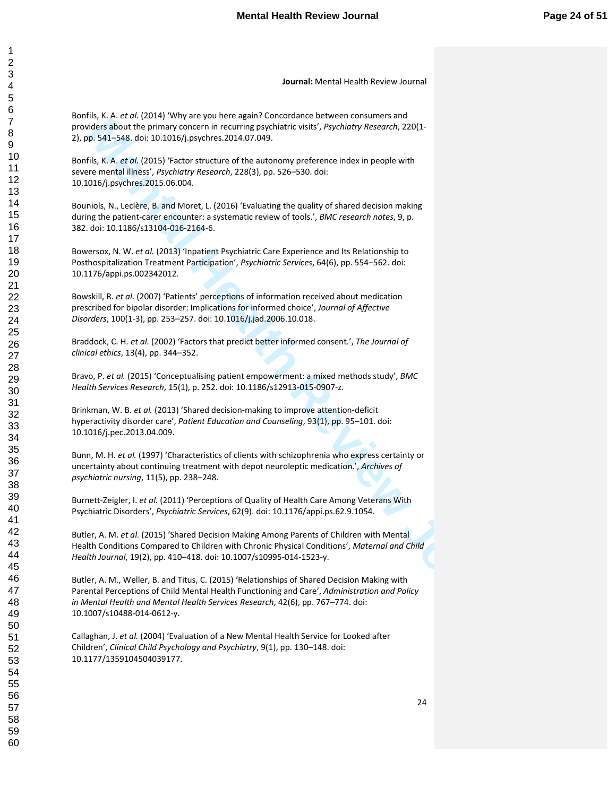Bonfils, K. A. *et al.* (2014) 'Why are you here again? Concordance between consumers and providers about the primary concern in recurring psychiatric visits', *Psychiatry Research*, 220(1- 2), pp. 541–548. doi: 10.1016/j.psychres.2014.07.049.

Bonfils, K. A. *et al.* (2015) 'Factor structure of the autonomy preference index in people with severe mental illness', *Psychiatry Research*, 228(3), pp. 526–530. doi: 10.1016/j.psychres.2015.06.004.

Bouniols, N., Leclère, B. and Moret, L. (2016) 'Evaluating the quality of shared decision making during the patient-carer encounter: a systematic review of tools.', *BMC research notes*, 9, p. 382. doi: 10.1186/s13104-016-2164-6.

Bowersox, N. W. *et al.* (2013) 'Inpatient Psychiatric Care Experience and Its Relationship to Posthospitalization Treatment Participation', *Psychiatric Services*, 64(6), pp. 554–562. doi: 10.1176/appi.ps.002342012.

Bowskill, R. *et al.* (2007) 'Patients' perceptions of information received about medication prescribed for bipolar disorder: Implications for informed choice', *Journal of Affective Disorders*, 100(1-3), pp. 253–257. doi: 10.1016/j.jad.2006.10.018.

Braddock, C. H. *et al.* (2002) 'Factors that predict better informed consent.', *The Journal of clinical ethics*, 13(4), pp. 344–352.

Bravo, P. *et al.* (2015) 'Conceptualising patient empowerment: a mixed methods study', *BMC Health Services Research*, 15(1), p. 252. doi: 10.1186/s12913-015-0907-z.

Brinkman, W. B. *et al.* (2013) 'Shared decision-making to improve attention-deficit hyperactivity disorder care', *Patient Education and Counseling*, 93(1), pp. 95–101. doi: 10.1016/j.pec.2013.04.009.

Bunn, M. H. *et al.* (1997) 'Characteristics of clients with schizophrenia who express certainty or uncertainty about continuing treatment with depot neuroleptic medication.', *Archives of psychiatric nursing*, 11(5), pp. 238–248.

Burnett-Zeigler, I. *et al.* (2011) 'Perceptions of Quality of Health Care Among Veterans With Psychiatric Disorders', *Psychiatric Services*, 62(9). doi: 10.1176/appi.ps.62.9.1054.

Butler, A. M. *et al.* (2015) 'Shared Decision Making Among Parents of Children with Mental Health Conditions Compared to Children with Chronic Physical Conditions', *Maternal and Child Health Journal*, 19(2), pp. 410–418. doi: 10.1007/s10995-014-1523-y.

older is Booth The Theory concerns in recurring position of the Sixtenbury Research 2016<br>Went Sixtenbury and Concerns and recurring positions of the Sixtenbury Research 2014<br>16: 6.5 SL-548, dol: 10.1018/J separate 2014.07. Butler, A. M., Weller, B. and Titus, C. (2015) 'Relationships of Shared Decision Making with Parental Perceptions of Child Mental Health Functioning and Care', *Administration and Policy in Mental Health and Mental Health Services Research*, 42(6), pp. 767–774. doi: 10.1007/s10488-014-0612-y.

Callaghan, J. *et al.* (2004) 'Evaluation of a New Mental Health Service for Looked after Children', *Clinical Child Psychology and Psychiatry*, 9(1), pp. 130–148. doi: 10.1177/1359104504039177.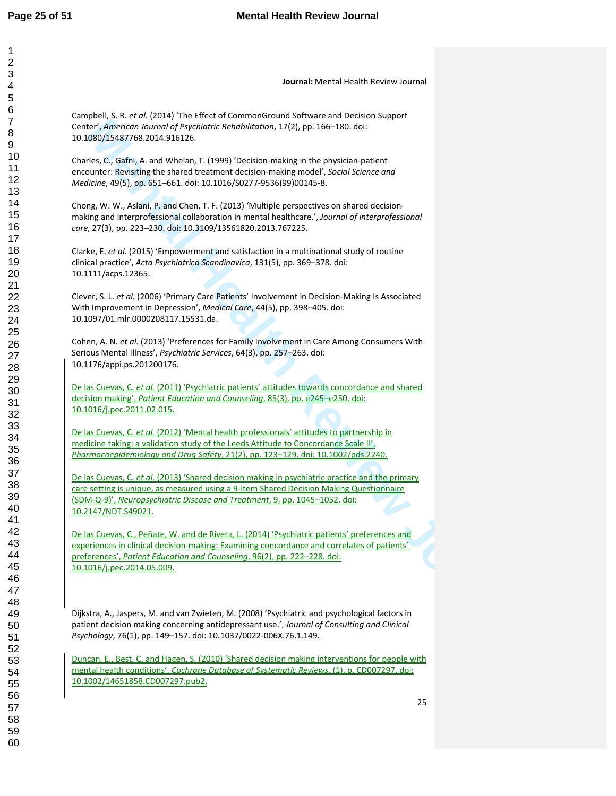| Journal: Mental Health Review Journal                                                                                                                                                                                                                                                                 |    |
|-------------------------------------------------------------------------------------------------------------------------------------------------------------------------------------------------------------------------------------------------------------------------------------------------------|----|
|                                                                                                                                                                                                                                                                                                       |    |
| Campbell, S. R. et al. (2014) 'The Effect of CommonGround Software and Decision Support<br>Center', American Journal of Psychiatric Rehabilitation, 17(2), pp. 166-180. doi:<br>10.1080/15487768.2014.916126.                                                                                         |    |
| Charles, C., Gafni, A. and Whelan, T. (1999) 'Decision-making in the physician-patient<br>encounter: Revisiting the shared treatment decision-making model', Social Science and<br>Medicine, 49(5), pp. 651-661. doi: 10.1016/S0277-9536(99)00145-8.                                                  |    |
| Chong, W. W., Aslani, P. and Chen, T. F. (2013) 'Multiple perspectives on shared decision-<br>making and interprofessional collaboration in mental healthcare.', Journal of interprofessional<br>care, 27(3), pp. 223-230. doi: 10.3109/13561820.2013.767225.                                         |    |
| Clarke, E. et al. (2015) 'Empowerment and satisfaction in a multinational study of routine<br>clinical practice', Acta Psychiatrica Scandinavica, 131(5), pp. 369-378. doi:<br>10.1111/acps.12365.                                                                                                    |    |
| Clever, S. L. et al. (2006) 'Primary Care Patients' Involvement in Decision-Making Is Associated<br>With Improvement in Depression', Medical Care, 44(5), pp. 398-405. doi:<br>10.1097/01.mlr.0000208117.15531.da.                                                                                    |    |
| Cohen, A. N. et al. (2013) 'Preferences for Family Involvement in Care Among Consumers With<br>Serious Mental Illness', Psychiatric Services, 64(3), pp. 257-263. doi:<br>10.1176/appi.ps.201200176.                                                                                                  |    |
| De las Cuevas, C. et al. (2011) 'Psychiatric patients' attitudes towards concordance and shared<br>decision making', Patient Education and Counseling, 85(3), pp. e245-e250. doi:<br>10.1016/j.pec.2011.02.015.                                                                                       |    |
| De las Cuevas, C. et al. (2012) 'Mental health professionals' attitudes to partnership in<br>medicine taking: a validation study of the Leeds Attitude to Concordance Scale II',<br>Pharmacoepidemiology and Drug Safety, 21(2), pp. 123-129. doi: 10.1002/pds.2240.                                  |    |
| De las Cuevas, C. et al. (2013) 'Shared decision making in psychiatric practice and the primary<br>care setting is unique, as measured using a 9-item Shared Decision Making Questionnaire<br>(SDM-Q-9)', Neuropsychiatric Disease and Treatment, 9, pp. 1045-1052. doi:<br>10.2147/NDT.S49021.       |    |
| De las Cuevas, C., Peñate, W. and de Rivera, L. (2014) 'Psychiatric patients' preferences and<br>experiences in clinical decision-making: Examining concordance and correlates of patients'<br>preferences', Patient Education and Counseling, 96(2), pp. 222-228. doi:<br>10.1016/j.pec.2014.05.009. |    |
| Dijkstra, A., Jaspers, M. and van Zwieten, M. (2008) 'Psychiatric and psychological factors in<br>patient decision making concerning antidepressant use.', Journal of Consulting and Clinical<br>Psychology, 76(1), pp. 149-157. doi: 10.1037/0022-006X.76.1.149.                                     |    |
| Duncan, E., Best, C. and Hagen, S. (2010) 'Shared decision making interventions for people with<br>mental health conditions', Cochrane Database of Systematic Reviews, (1), p. CD007297. doi:<br>10.1002/14651858.CD007297.pub2.                                                                      |    |
|                                                                                                                                                                                                                                                                                                       | 25 |
|                                                                                                                                                                                                                                                                                                       |    |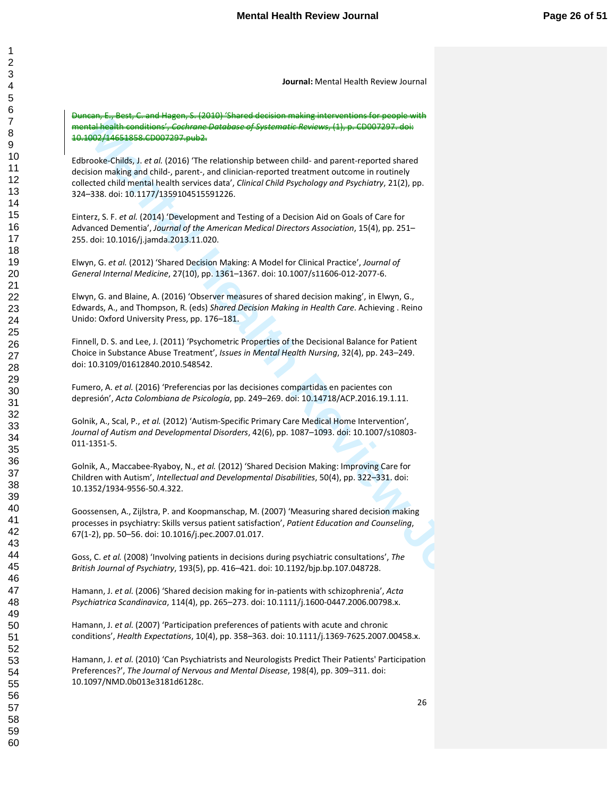Duncan, E., Best, C. and Hagen, S. (2010) 'Shared decision making interventions for people with mental health conditions', *Cochrane Database of Systematic Reviews*, (1), p. CD007297. doi: 10.1002/14651858.CD007297.pub2.

**Manishhoodistics:** controls of extractions of the present of the method matrix (Hbp c Cl201229), determining and class the controls of the control method in the control method in the control method in the control method i Edbrooke-Childs, J. *et al.* (2016) 'The relationship between child- and parent-reported shared decision making and child-, parent-, and clinician-reported treatment outcome in routinely collected child mental health services data', *Clinical Child Psychology and Psychiatry*, 21(2), pp. 324–338. doi: 10.1177/1359104515591226.

Einterz, S. F. *et al.* (2014) 'Development and Testing of a Decision Aid on Goals of Care for Advanced Dementia', *Journal of the American Medical Directors Association*, 15(4), pp. 251– 255. doi: 10.1016/j.jamda.2013.11.020.

Elwyn, G. *et al.* (2012) 'Shared Decision Making: A Model for Clinical Practice', *Journal of General Internal Medicine*, 27(10), pp. 1361–1367. doi: 10.1007/s11606-012-2077-6.

Elwyn, G. and Blaine, A. (2016) 'Observer measures of shared decision making', in Elwyn, G., Edwards, A., and Thompson, R. (eds) *Shared Decision Making in Health Care*. Achieving . Reino Unido: Oxford University Press, pp. 176–181.

Finnell, D. S. and Lee, J. (2011) 'Psychometric Properties of the Decisional Balance for Patient Choice in Substance Abuse Treatment', *Issues in Mental Health Nursing*, 32(4), pp. 243–249. doi: 10.3109/01612840.2010.548542.

Fumero, A. *et al.* (2016) 'Preferencias por las decisiones compartidas en pacientes con depresión', *Acta Colombiana de Psicología*, pp. 249–269. doi: 10.14718/ACP.2016.19.1.11.

Golnik, A., Scal, P., *et al.* (2012) 'Autism-Specific Primary Care Medical Home Intervention', *Journal of Autism and Developmental Disorders*, 42(6), pp. 1087–1093. doi: 10.1007/s10803- 011-1351-5.

Golnik, A., Maccabee-Ryaboy, N., *et al.* (2012) 'Shared Decision Making: Improving Care for Children with Autism', *Intellectual and Developmental Disabilities*, 50(4), pp. 322–331. doi: 10.1352/1934-9556-50.4.322.

Goossensen, A., Zijlstra, P. and Koopmanschap, M. (2007) 'Measuring shared decision making processes in psychiatry: Skills versus patient satisfaction', *Patient Education and Counseling*, 67(1-2), pp. 50–56. doi: 10.1016/j.pec.2007.01.017.

Goss, C. *et al.* (2008) 'Involving patients in decisions during psychiatric consultations', *The British Journal of Psychiatry*, 193(5), pp. 416–421. doi: 10.1192/bjp.bp.107.048728.

Hamann, J. *et al.* (2006) 'Shared decision making for in-patients with schizophrenia', *Acta Psychiatrica Scandinavica*, 114(4), pp. 265–273. doi: 10.1111/j.1600-0447.2006.00798.x.

Hamann, J. *et al.* (2007) 'Participation preferences of patients with acute and chronic conditions', *Health Expectations*, 10(4), pp. 358–363. doi: 10.1111/j.1369-7625.2007.00458.x.

Hamann, J. *et al.* (2010) 'Can Psychiatrists and Neurologists Predict Their Patients' Participation Preferences?', *The Journal of Nervous and Mental Disease*, 198(4), pp. 309–311. doi: 10.1097/NMD.0b013e3181d6128c.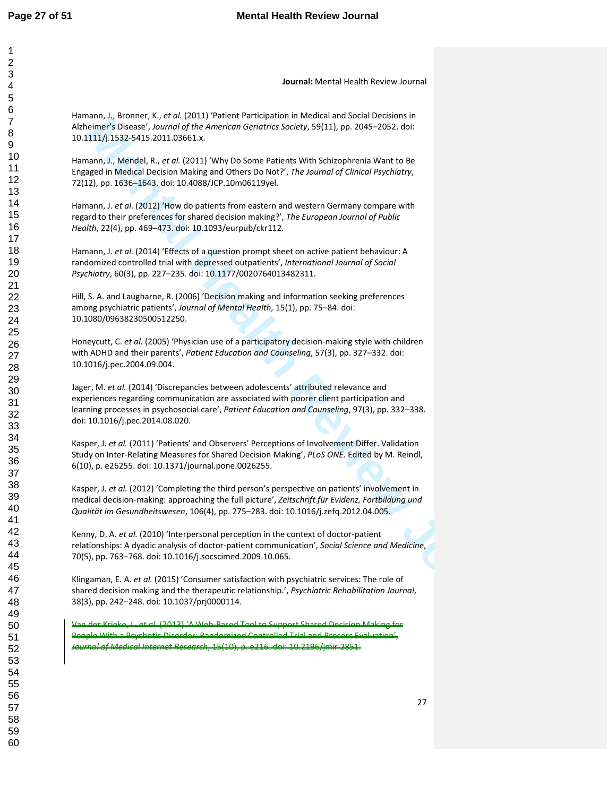**Journal:** Mental Health Review Journal

Hamann, J., Bronner, K., *et al.* (2011) 'Patient Participation in Medical and Social Decisions in Alzheimer's Disease', *Journal of the American Geriatrics Society*, 59(11), pp. 2045–2052. doi: 10.1111/j.1532-5415.2011.03661.x.

Hamann, J., Mendel, R., *et al.* (2011) 'Why Do Some Patients With Schizophrenia Want to Be Engaged in Medical Decision Making and Others Do Not?', *The Journal of Clinical Psychiatry*, 72(12), pp. 1636–1643. doi: 10.4088/JCP.10m06119yel.

Hamann, J. *et al.* (2012) 'How do patients from eastern and western Germany compare with regard to their preferences for shared decision making?', *The European Journal of Public Health*, 22(4), pp. 469–473. doi: 10.1093/eurpub/ckr112.

Hamann, J. *et al.* (2014) 'Effects of a question prompt sheet on active patient behaviour: A randomized controlled trial with depressed outpatients', *International Journal of Social Psychiatry*, 60(3), pp. 227–235. doi: 10.1177/0020764013482311.

Hill, S. A. and Laugharne, R. (2006) 'Decision making and information seeking preferences among psychiatric patients', *Journal of Mental Health*, 15(1), pp. 75–84. doi: 10.1080/09638230500512250.

Honeycutt, C. *et al.* (2005) 'Physician use of a participatory decision-making style with children with ADHD and their parents', *Patient Education and Counseling*, 57(3), pp. 327–332. doi: 10.1016/j.pec.2004.09.004.

emerg<sup>2</sup>: Denset, *2007ma (Pfte American Greenories Scecity, 59011), pp. 2015-2003. October 19 (Merican Merican Review Journal Merican Review Journal Merican Review Journal Merican Review Journal Merican Review Journal Mer* Jager, M. *et al.* (2014) 'Discrepancies between adolescents' attributed relevance and experiences regarding communication are associated with poorer client participation and learning processes in psychosocial care', *Patient Education and Counseling*, 97(3), pp. 332–338. doi: 10.1016/j.pec.2014.08.020.

Kasper, J. *et al.* (2011) 'Patients' and Observers' Perceptions of Involvement Differ. Validation Study on Inter-Relating Measures for Shared Decision Making', *PLoS ONE*. Edited by M. Reindl, 6(10), p. e26255. doi: 10.1371/journal.pone.0026255.

Kasper, J. *et al.* (2012) 'Completing the third person's perspective on patients' involvement in medical decision-making: approaching the full picture', *Zeitschrift für Evidenz, Fortbildung und Qualität im Gesundheitswesen*, 106(4), pp. 275–283. doi: 10.1016/j.zefq.2012.04.005.

Kenny, D. A. *et al.* (2010) 'Interpersonal perception in the context of doctor-patient relationships: A dyadic analysis of doctor-patient communication', *Social Science and Medicine*, 70(5), pp. 763–768. doi: 10.1016/j.socscimed.2009.10.065.

Klingaman, E. A. *et al.* (2015) 'Consumer satisfaction with psychiatric services: The role of shared decision making and the therapeutic relationship.', *Psychiatric Rehabilitation Journal*, 38(3), pp. 242–248. doi: 10.1037/prj0000114.

Van der Krieke, L. *et al.* (2013) 'A Web-Based Tool to Support Shared Decision Making for People With a Psychotic Disorder: Randomized Controlled Trial and Process Evaluation', *Journal of Medical Internet Research*, 15(10), p. e216. doi: 10.2196/jmir.2851.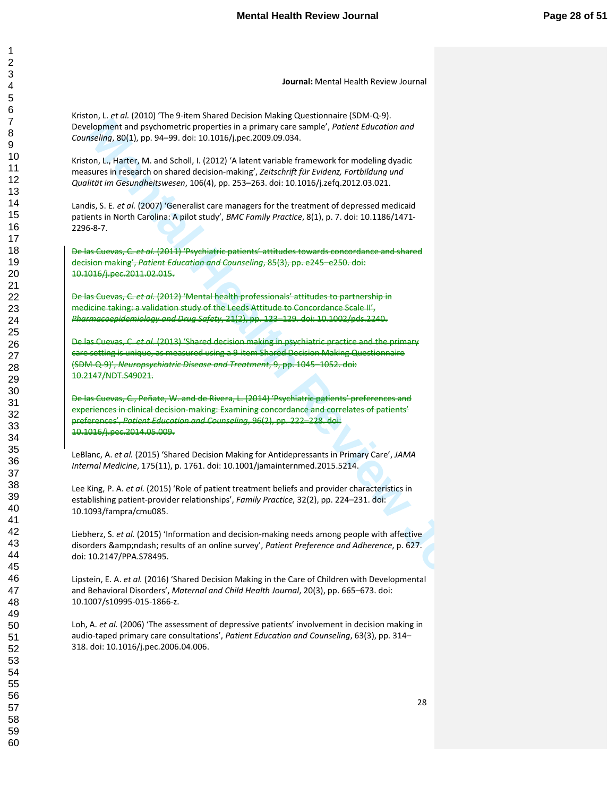Kriston, L. *et al.* (2010) 'The 9-item Shared Decision Making Questionnaire (SDM-Q-9). Development and psychometric properties in a primary care sample', *Patient Education and Counseling*, 80(1), pp. 94–99. doi: 10.1016/j.pec.2009.09.034.

Kriston, L., Harter, M. and Scholl, I. (2012) 'A latent variable framework for modeling dyadic measures in research on shared decision-making', *Zeitschrift für Evidenz, Fortbildung und Qualität im Gesundheitswesen*, 106(4), pp. 253–263. doi: 10.1016/j.zefq.2012.03.021.

Landis, S. E. *et al.* (2007) 'Generalist care managers for the treatment of depressed medicaid patients in North Carolina: A pilot study', *BMC Family Practice*, 8(1), p. 7. doi: 10.1186/1471- 2296-8-7.

De las Cuevas, C. *et al.* (2011) 'Psychiatric patients' attitudes towards concordance and shared decision making', *Patient Education and Counseling*, 85(3), pp. e245–e250. doi: 10.1016/j.pec.2011.02.015.

De las Cuevas, C. *et al.* (2012) 'Mental health professionals' attitudes to partnership in medicine taking: a validation study of the Leeds Attitude to Concordance Scale II', *Pharmacoepidemiology and Drug Safety*, 21(2), pp. 123–129. doi: 10.1002/pds.2240.

De las Cuevas, C. *et al.* (2013) 'Shared decision making in psychiatric practice and the primary care setting is unique, as measured using a 9-item Shared Decision Making Questionnaire (SDM-Q-9)', *Neuropsychiatric Disease and Treatment*, 9, pp. 1045–1052. doi: 10.2147/NDT.S49021.

ologithese and spythometrical poperation is a primary of ex cannot a model in the control of the control of the control of the control of the control of the control of the control of the control of the control of the contr De las Cuevas, C., Peñate, W. and de Rivera, L. (2014) 'Psychiatric patients' preferences and experiences in clinical decision-making: Examining concordance and correlates of patients' preferences', *Patient Education and Counseling*, 96(2), pp. 222–228. doi: 10.1016/j.pec.2014.05.009.

LeBlanc, A. *et al.* (2015) 'Shared Decision Making for Antidepressants in Primary Care', *JAMA Internal Medicine*, 175(11), p. 1761. doi: 10.1001/jamainternmed.2015.5214.

Lee King, P. A. *et al.* (2015) 'Role of patient treatment beliefs and provider characteristics in establishing patient-provider relationships', *Family Practice*, 32(2), pp. 224–231. doi: 10.1093/fampra/cmu085.

Liebherz, S. *et al.* (2015) 'Information and decision-making needs among people with affective disorders – results of an online survey', Patient Preference and Adherence, p. 627. doi: 10.2147/PPA.S78495.

Lipstein, E. A. *et al.* (2016) 'Shared Decision Making in the Care of Children with Developmental and Behavioral Disorders', *Maternal and Child Health Journal*, 20(3), pp. 665–673. doi: 10.1007/s10995-015-1866-z.

Loh, A. *et al.* (2006) 'The assessment of depressive patients' involvement in decision making in audio-taped primary care consultations', *Patient Education and Counseling*, 63(3), pp. 314– 318. doi: 10.1016/j.pec.2006.04.006.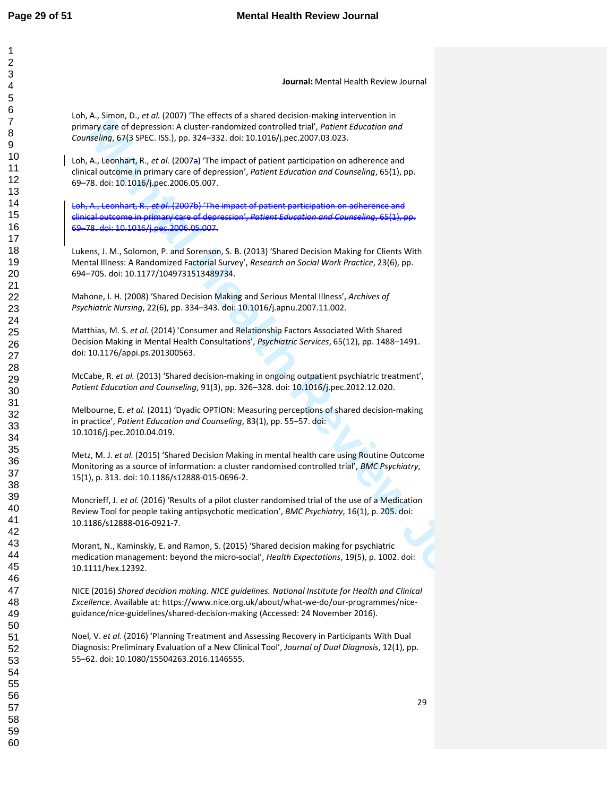| $\overline{c}$ |
|----------------|
|                |
|                |
| 34567          |
|                |
|                |
|                |
|                |
|                |
|                |
|                |
|                |
|                |
|                |
|                |
|                |
|                |
|                |
|                |
|                |
|                |
|                |
|                |
|                |
|                |
|                |
|                |
|                |
|                |
|                |
|                |
|                |
|                |
|                |
|                |
|                |
|                |
|                |
|                |
|                |
|                |
| 39             |
| 40             |
| 41             |
|                |
| 42             |
| 43             |
| 44             |
| 45             |
| 46             |
| 47             |
| 48             |
|                |
| 49             |
| 50             |
| 51<br>52       |
|                |
| --<br>53       |
| 54             |
| 55             |
| 56             |
| 57             |
|                |
| 58             |
| 59             |

**Journal:** Mental Health Review Journal

Loh, A., Simon, D., *et al.* (2007) 'The effects of a shared decision-making intervention in primary care of depression: A cluster-randomized controlled trial', *Patient Education and Counseling*, 67(3 SPEC. ISS.), pp. 324–332. doi: 10.1016/j.pec.2007.03.023.

Loh, A., Leonhart, R., *et al.* (2007a) 'The impact of patient participation on adherence and clinical outcome in primary care of depression', *Patient Education and Counseling*, 65(1), pp. 69–78. doi: 10.1016/j.pec.2006.05.007.

Loh, A., Leonhart, R., *et al.* (2007b) 'The impact of patient participation on adherence and clinical outcome in primary care of depression', *Patient Education and Counseling*, 65(1), pp. 69–78. doi: 10.1016/j.pec.2006.05.007.

Lukens, J. M., Solomon, P. and Sorenson, S. B. (2013) 'Shared Decision Making for Clients With Mental Illness: A Randomized Factorial Survey', *Research on Social Work Practice*, 23(6), pp. 694–705. doi: 10.1177/1049731513489734.

Mahone, I. H. (2008) 'Shared Decision Making and Serious Mental Illness', *Archives of Psychiatric Nursing*, 22(6), pp. 334–343. doi: 10.1016/j.apnu.2007.11.002.

Matthias, M. S. *et al.* (2014) 'Consumer and Relationship Factors Associated With Shared Decision Making in Mental Health Consultations', *Psychiatric Services*, 65(12), pp. 1488–1491. doi: 10.1176/appi.ps.201300563.

McCabe, R. *et al.* (2013) 'Shared decision-making in ongoing outpatient psychiatric treatment', *Patient Education and Counseling*, 91(3), pp. 326–328. doi: 10.1016/j.pec.2012.12.020.

**May Terms of depressions A.6** (Moter mendomed crossing for the extremely any respect to the significant Review Health Review Journal Health Review Journal Health Review Journal Health Review Journal A.6 (Mother Review Jo Melbourne, E. *et al.* (2011) 'Dyadic OPTION: Measuring perceptions of shared decision-making in practice', *Patient Education and Counseling*, 83(1), pp. 55–57. doi: 10.1016/j.pec.2010.04.019.

Metz, M. J. *et al.* (2015) 'Shared Decision Making in mental health care using Routine Outcome Monitoring as a source of information: a cluster randomised controlled trial', *BMC Psychiatry*, 15(1), p. 313. doi: 10.1186/s12888-015-0696-2.

Moncrieff, J. *et al.* (2016) 'Results of a pilot cluster randomised trial of the use of a Medication Review Tool for people taking antipsychotic medication', *BMC Psychiatry*, 16(1), p. 205. doi: 10.1186/s12888-016-0921-7.

Morant, N., Kaminskiy, E. and Ramon, S. (2015) 'Shared decision making for psychiatric medication management: beyond the micro-social', *Health Expectations*, 19(5), p. 1002. doi: 10.1111/hex.12392.

NICE (2016) *Shared decidion making. NICE guidelines. National Institute for Health and Clinical Excellence*. Available at: https://www.nice.org.uk/about/what-we-do/our-programmes/niceguidance/nice-guidelines/shared-decision-making (Accessed: 24 November 2016).

Noel, V. *et al.* (2016) 'Planning Treatment and Assessing Recovery in Participants With Dual Diagnosis: Preliminary Evaluation of a New Clinical Tool', *Journal of Dual Diagnosis*, 12(1), pp. 55–62. doi: 10.1080/15504263.2016.1146555.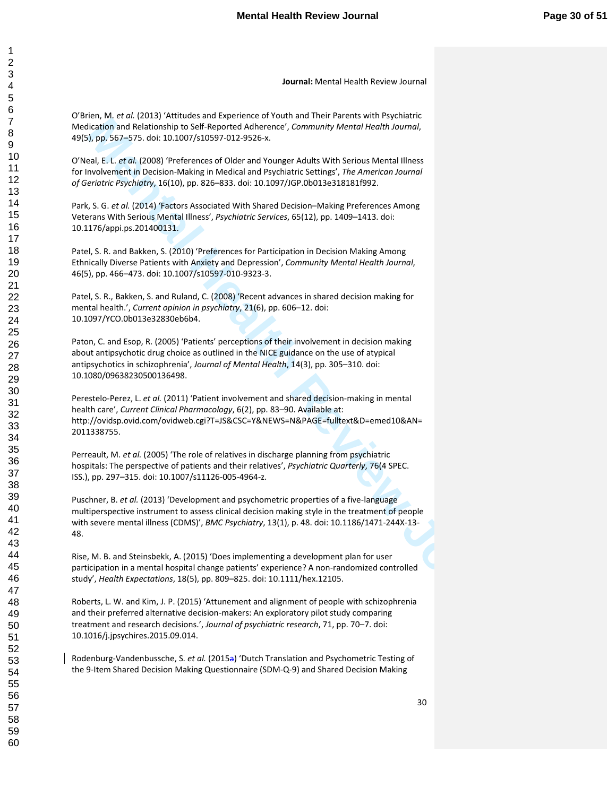O'Brien, M. *et al.* (2013) 'Attitudes and Experience of Youth and Their Parents with Psychiatric Medication and Relationship to Self-Reported Adherence', *Community Mental Health Journal*, 49(5), pp. 567–575. doi: 10.1007/s10597-012-9526-x.

O'Neal, E. L. *et al.* (2008) 'Preferences of Older and Younger Adults With Serious Mental Illness for Involvement in Decision-Making in Medical and Psychiatric Settings', *The American Journal of Geriatric Psychiatry*, 16(10), pp. 826–833. doi: 10.1097/JGP.0b013e318181f992.

Park, S. G. *et al.* (2014) 'Factors Associated With Shared Decision–Making Preferences Among Veterans With Serious Mental Illness', *Psychiatric Services*, 65(12), pp. 1409–1413. doi: 10.1176/appi.ps.201400131.

Patel, S. R. and Bakken, S. (2010) 'Preferences for Participation in Decision Making Among Ethnically Diverse Patients with Anxiety and Depression', *Community Mental Health Journal*, 46(5), pp. 466–473. doi: 10.1007/s10597-010-9323-3.

Patel, S. R., Bakken, S. and Ruland, C. (2008) 'Recent advances in shared decision making for mental health.', *Current opinion in psychiatry*, 21(6), pp. 606–12. doi: 10.1097/YCO.0b013e32830eb6b4.

Paton, C. and Esop, R. (2005) 'Patients' perceptions of their involvement in decision making about antipsychotic drug choice as outlined in the NICE guidance on the use of atypical antipsychotics in schizophrenia', *Journal of Mental Health*, 14(3), pp. 305–310. doi: 10.1080/09638230500136498.

**Mention and Netherlands Professor Constraines (Constraines)**<br> **Mention and Netherlands Professor Constraines (Constraines)**<br> **Mental Health Review Journal Constraines (Constraines)**<br> **Mental Health Review Journal Mental** Perestelo-Perez, L. *et al.* (2011) 'Patient involvement and shared decision-making in mental health care', *Current Clinical Pharmacology*, 6(2), pp. 83–90. Available at: http://ovidsp.ovid.com/ovidweb.cgi?T=JS&CSC=Y&NEWS=N&PAGE=fulltext&D=emed10&AN= 2011338755.

Perreault, M. *et al.* (2005) 'The role of relatives in discharge planning from psychiatric hospitals: The perspective of patients and their relatives', *Psychiatric Quarterly*, 76(4 SPEC. ISS.), pp. 297–315. doi: 10.1007/s11126-005-4964-z.

Puschner, B. *et al.* (2013) 'Development and psychometric properties of a five-language multiperspective instrument to assess clinical decision making style in the treatment of people with severe mental illness (CDMS)', *BMC Psychiatry*, 13(1), p. 48. doi: 10.1186/1471-244X-13- 48.

Rise, M. B. and Steinsbekk, A. (2015) 'Does implementing a development plan for user participation in a mental hospital change patients' experience? A non-randomized controlled study', *Health Expectations*, 18(5), pp. 809–825. doi: 10.1111/hex.12105.

Roberts, L. W. and Kim, J. P. (2015) 'Attunement and alignment of people with schizophrenia and their preferred alternative decision-makers: An exploratory pilot study comparing treatment and research decisions.', *Journal of psychiatric research*, 71, pp. 70–7. doi: 10.1016/j.jpsychires.2015.09.014.

Rodenburg-Vandenbussche, S. *et al.* (2015a) 'Dutch Translation and Psychometric Testing of the 9-Item Shared Decision Making Questionnaire (SDM-Q-9) and Shared Decision Making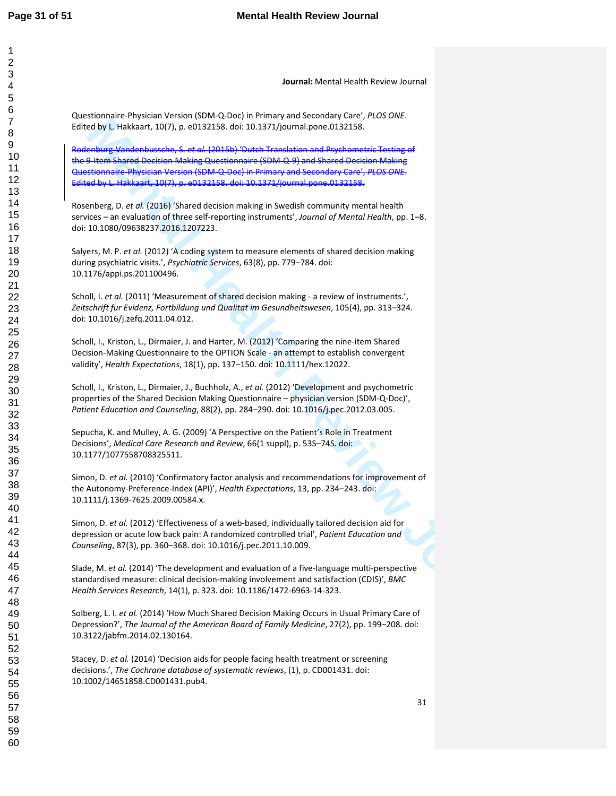| Journal: Mental Health Review Journal                                                                                                                                                                                                                                                                                                                       |    |
|-------------------------------------------------------------------------------------------------------------------------------------------------------------------------------------------------------------------------------------------------------------------------------------------------------------------------------------------------------------|----|
| Questionnaire-Physician Version (SDM-Q-Doc) in Primary and Secondary Care', PLOS ONE.<br>Edited by L. Hakkaart, 10(7), p. e0132158. doi: 10.1371/journal.pone.0132158.                                                                                                                                                                                      |    |
| Rodenburg-Vandenbussche, S. et al. (2015b) 'Dutch Translation and Psychometric Testing of<br>the 9-Item Shared Decision Making Questionnaire (SDM-Q-9) and Shared Decision Making<br>Questionnaire-Physician Version (SDM-Q-Doc) in Primary and Secondary Care', PLOS ONE.<br>Edited by L. Hakkaart, 10(7), p. e0132158. doi: 10.1371/journal.pone.0132158. |    |
| Rosenberg, D. et al. (2016) 'Shared decision making in Swedish community mental health<br>services - an evaluation of three self-reporting instruments', Journal of Mental Health, pp. 1-8.<br>doi: 10.1080/09638237.2016.1207223.                                                                                                                          |    |
| Salyers, M. P. et al. (2012) 'A coding system to measure elements of shared decision making<br>during psychiatric visits.', Psychiatric Services, 63(8), pp. 779-784. doi:<br>10.1176/appi.ps.201100496.                                                                                                                                                    |    |
| Scholl, I. et al. (2011) 'Measurement of shared decision making - a review of instruments.',<br>Zeitschrift fur Evidenz, Fortbildung und Qualitat im Gesundheitswesen, 105(4), pp. 313-324.<br>doi: 10.1016/j.zefq.2011.04.012.                                                                                                                             |    |
| Scholl, I., Kriston, L., Dirmaier, J. and Harter, M. (2012) 'Comparing the nine-item Shared<br>Decision-Making Questionnaire to the OPTION Scale - an attempt to establish convergent<br>validity', Health Expectations, 18(1), pp. 137-150. doi: 10.1111/hex.12022.                                                                                        |    |
| Scholl, I., Kriston, L., Dirmaier, J., Buchholz, A., et al. (2012) 'Development and psychometric<br>properties of the Shared Decision Making Questionnaire - physician version (SDM-Q-Doc)',<br>Patient Education and Counseling, 88(2), pp. 284-290. doi: 10.1016/j.pec.2012.03.005.                                                                       |    |
| Sepucha, K. and Mulley, A. G. (2009) 'A Perspective on the Patient's Role in Treatment<br>Decisions', Medical Care Research and Review, 66(1 suppl), p. 53S-74S. doi:<br>10.1177/1077558708325511.                                                                                                                                                          |    |
| Simon, D. et al. (2010) 'Confirmatory factor analysis and recommendations for improvement of<br>the Autonomy-Preference-Index (API)', Health Expectations, 13, pp. 234-243. doi:<br>10.1111/j.1369-7625.2009.00584.x.                                                                                                                                       |    |
| Simon, D. et al. (2012) 'Effectiveness of a web-based, individually tailored decision aid for<br>depression or acute low back pain: A randomized controlled trial', Patient Education and<br>Counseling, 87(3), pp. 360-368. doi: 10.1016/j.pec.2011.10.009.                                                                                                |    |
| Slade, M. et al. (2014) 'The development and evaluation of a five-language multi-perspective<br>standardised measure: clinical decision-making involvement and satisfaction (CDIS)', BMC<br>Health Services Research, 14(1), p. 323. doi: 10.1186/1472-6963-14-323.                                                                                         |    |
| Solberg, L. I. et al. (2014) 'How Much Shared Decision Making Occurs in Usual Primary Care of<br>Depression?', The Journal of the American Board of Family Medicine, 27(2), pp. 199-208. doi:<br>10.3122/jabfm.2014.02.130164.                                                                                                                              |    |
| Stacey, D. et al. (2014) 'Decision aids for people facing health treatment or screening<br>decisions.', The Cochrane database of systematic reviews, (1), p. CD001431. doi:<br>10.1002/14651858.CD001431.pub4.                                                                                                                                              |    |
|                                                                                                                                                                                                                                                                                                                                                             | 31 |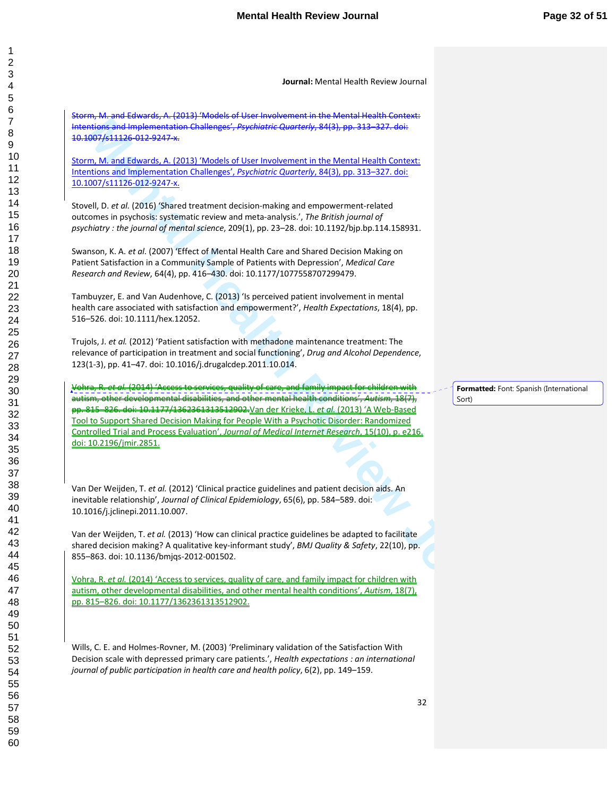Storm, M. and Edwards, A. (2013) 'Models of User Involvement in the Mental Health Context: Intentions and Implementation Challenges', *Psychiatric Quarterly*, 84(3), pp. 313–327. doi: 10.1007/s11126-012-9247-x.

Storm, M. and Edwards, A. (2013) 'Models of User Involvement in the Mental Health Context: Intentions and Implementation Challenges', *Psychiatric Quarterly*, 84(3), pp. 313–327. doi: 10.1007/s11126-012-9247-x.

Stovell, D. *et al.* (2016) 'Shared treatment decision-making and empowerment-related outcomes in psychosis: systematic review and meta-analysis.', *The British journal of psychiatry : the journal of mental science*, 209(1), pp. 23–28. doi: 10.1192/bjp.bp.114.158931.

Swanson, K. A. *et al.* (2007) 'Effect of Mental Health Care and Shared Decision Making on Patient Satisfaction in a Community Sample of Patients with Depression', *Medical Care Research and Review*, 64(4), pp. 416–430. doi: 10.1177/1077558707299479.

Tambuyzer, E. and Van Audenhove, C. (2013) 'Is perceived patient involvement in mental health care associated with satisfaction and empowerment?', *Health Expectations*, 18(4), pp. 516–526. doi: 10.1111/hex.12052.

Trujols, J. *et al.* (2012) 'Patient satisfaction with methadone maintenance treatment: The relevance of participation in treatment and social functioning', *Drug and Alcohol Dependence*, 123(1-3), pp. 41–47. doi: 10.1016/j.drugalcdep.2011.10.014.

eigner, and the state of the state of the state of the state of the state of the state of the state of the state of the state of the state of the state of the state of the state of the state of the state of the state of th (<del>2014) 'Access to services, quality of care, and</del> autism, other developmental disabilities, and other mental health conditions', *Autism*, 18(7), pp. 815–826. doi: 10.1177/1362361313512902.Van der Krieke, L. *et al.* (2013) 'A Web-Based Tool to Support Shared Decision Making for People With a Psychotic Disorder: Randomized Controlled Trial and Process Evaluation', *Journal of Medical Internet Research*, 15(10), p. e216. doi: 10.2196/jmir.2851.

Van Der Weijden, T. *et al.* (2012) 'Clinical practice guidelines and patient decision aids. An inevitable relationship', *Journal of Clinical Epidemiology*, 65(6), pp. 584–589. doi: 10.1016/j.jclinepi.2011.10.007.

Van der Weijden, T. *et al.* (2013) 'How can clinical practice guidelines be adapted to facilitate shared decision making? A qualitative key-informant study', *BMJ Quality & Safety*, 22(10), pp. 855–863. doi: 10.1136/bmjqs-2012-001502.

Vohra, R. *et al.* (2014) 'Access to services, quality of care, and family impact for children with autism, other developmental disabilities, and other mental health conditions', *Autism*, 18(7), pp. 815–826. doi: 10.1177/1362361313512902.

Wills, C. E. and Holmes-Rovner, M. (2003) 'Preliminary validation of the Satisfaction With Decision scale with depressed primary care patients.', *Health expectations : an international journal of public participation in health care and health policy*, 6(2), pp. 149–159.

**Formatted:** Font: Spanish (International Sort)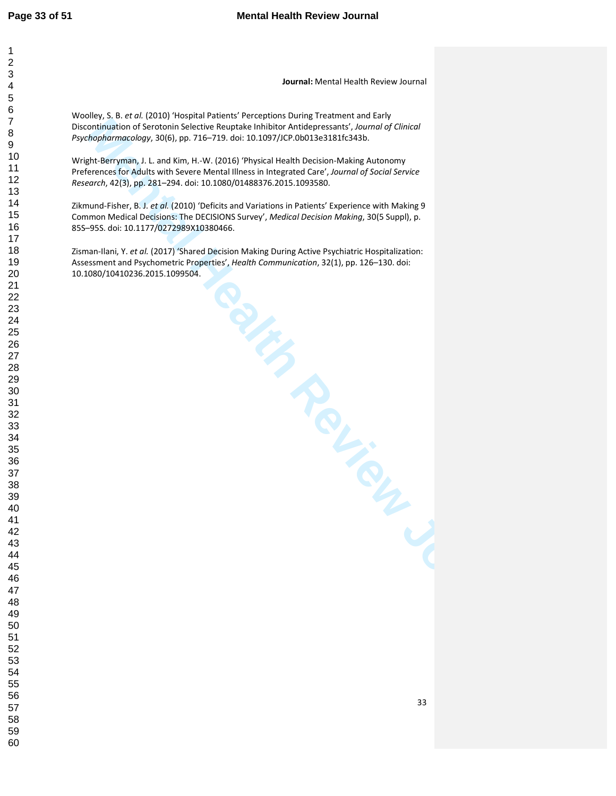> 

**Journal:** Mental Health Review Journal

Woolley, S. B. *et al.* (2010) 'Hospital Patients' Perceptions During Treatment and Early Discontinuation of Serotonin Selective Reuptake Inhibitor Antidepressants', *Journal of Clinical Psychopharmacology*, 30(6), pp. 716–719. doi: 10.1097/JCP.0b013e3181fc343b.

Wright-Berryman, J. L. and Kim, H.-W. (2016) 'Physical Health Decision-Making Autonomy Preferences for Adults with Severe Mental Illness in Integrated Care', *Journal of Social Service Research*, 42(3), pp. 281–294. doi: 10.1080/01488376.2015.1093580.

Zikmund-Fisher, B. J. *et al.* (2010) 'Deficits and Variations in Patients' Experience with Making 9 Common Medical Decisions: The DECISIONS Survey', *Medical Decision Making*, 30(5 Suppl), p. 85S–95S. doi: 10.1177/0272989X10380466.

A. Mating During Ac.<br>
Health Communication.<br>
Capture of the Contraction.<br>
Capture Capture Capture of Capture of Capture of Capture of Capture of Capture of Capture of Capture of Capture of Capture of Capture of Capture of Zisman-Ilani, Y. *et al.* (2017) 'Shared Decision Making During Active Psychiatric Hospitalization: Assessment and Psychometric Properties', *Health Communication*, 32(1), pp. 126–130. doi: 10.1080/10410236.2015.1099504.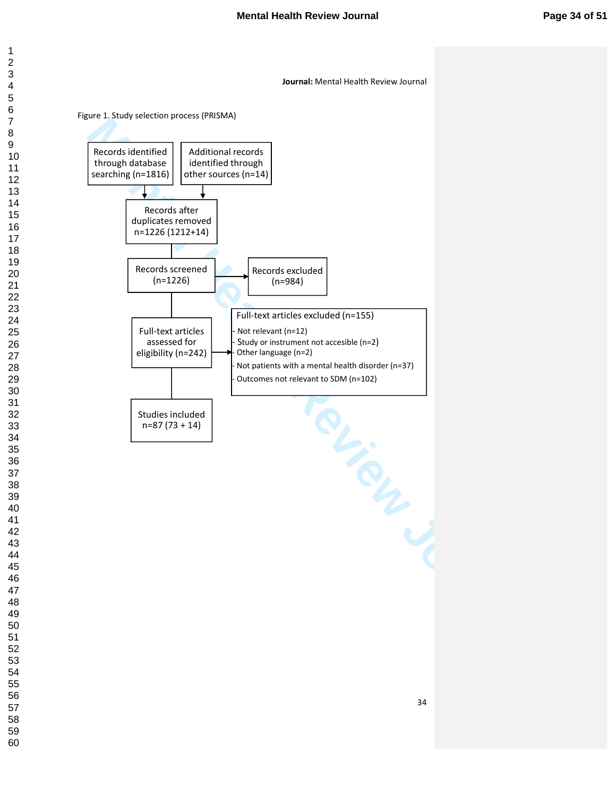Figure 1. Study selection process (PRISMA)



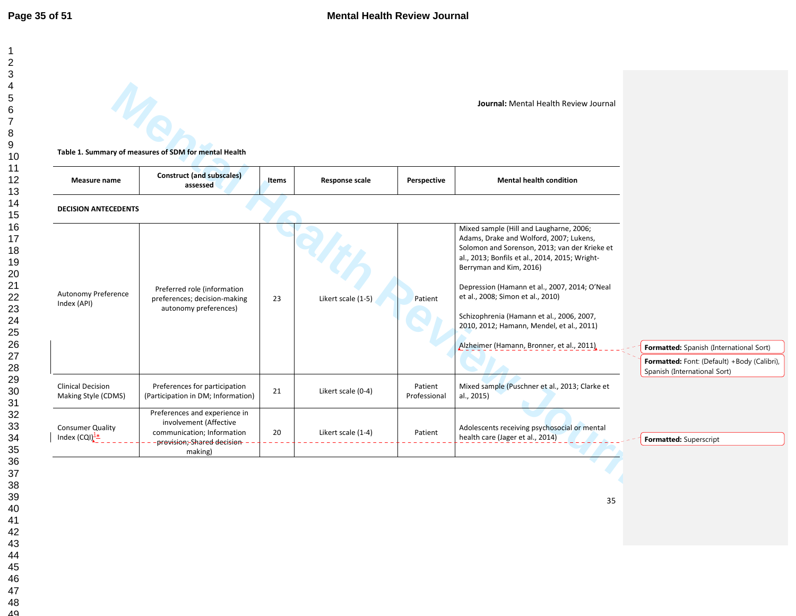|                                                        |                                                                                                                     |              |                       |                         | Journal: Mental Health Review Journal                                                                                                                                                                                                                                                                                                                                                                                                         |                                                                                                                        |
|--------------------------------------------------------|---------------------------------------------------------------------------------------------------------------------|--------------|-----------------------|-------------------------|-----------------------------------------------------------------------------------------------------------------------------------------------------------------------------------------------------------------------------------------------------------------------------------------------------------------------------------------------------------------------------------------------------------------------------------------------|------------------------------------------------------------------------------------------------------------------------|
|                                                        | Table 1. Summary of measures of SDM for mental Health                                                               |              |                       |                         |                                                                                                                                                                                                                                                                                                                                                                                                                                               |                                                                                                                        |
| Measure name                                           | <b>Construct (and subscales)</b><br>assessed                                                                        | <b>Items</b> | <b>Response scale</b> | Perspective             | <b>Mental health condition</b>                                                                                                                                                                                                                                                                                                                                                                                                                |                                                                                                                        |
| <b>DECISION ANTECEDENTS</b>                            |                                                                                                                     |              |                       |                         |                                                                                                                                                                                                                                                                                                                                                                                                                                               |                                                                                                                        |
| Autonomy Preference<br>Index (API)                     | Preferred role (information<br>preferences; decision-making<br>autonomy preferences)                                | 23           | Likert scale (1-5)    | Patient                 | Mixed sample (Hill and Laugharne, 2006;<br>Adams, Drake and Wolford, 2007; Lukens,<br>Solomon and Sorenson, 2013; van der Krieke et<br>al., 2013; Bonfils et al., 2014, 2015; Wright-<br>Berryman and Kim, 2016)<br>Depression (Hamann et al., 2007, 2014; O'Neal<br>et al., 2008; Simon et al., 2010)<br>Schizophrenia (Hamann et al., 2006, 2007,<br>2010, 2012; Hamann, Mendel, et al., 2011)<br>Alzheimer (Hamann, Bronner, et al., 2011) | Formatted: Spanish (International Sort)<br>Formatted: Font: (Default) +Body (Calibri),<br>Spanish (International Sort) |
| <b>Clinical Decision</b><br>Making Style (CDMS)        | Preferences for participation<br>(Participation in DM; Information)                                                 | 21           | Likert scale (0-4)    | Patient<br>Professional | Mixed sample (Puschner et al., 2013; Clarke et<br>al., 2015)                                                                                                                                                                                                                                                                                                                                                                                  |                                                                                                                        |
| <b>Consumer Quality</b><br>Index $(CQI)^{\frac{1}{2}}$ | Preferences and experience in<br>involvement (Affective<br>communication; Information<br>provision, Shared decision | 20           | Likert scale (1-4)    | Patient                 | Adolescents receiving psychosocial or mental<br>health care (Jager et al., 2014)                                                                                                                                                                                                                                                                                                                                                              | Formatted: Superscript                                                                                                 |
|                                                        | making)                                                                                                             |              |                       |                         |                                                                                                                                                                                                                                                                                                                                                                                                                                               |                                                                                                                        |
|                                                        |                                                                                                                     |              |                       |                         |                                                                                                                                                                                                                                                                                                                                                                                                                                               |                                                                                                                        |
|                                                        |                                                                                                                     |              |                       |                         | 35                                                                                                                                                                                                                                                                                                                                                                                                                                            |                                                                                                                        |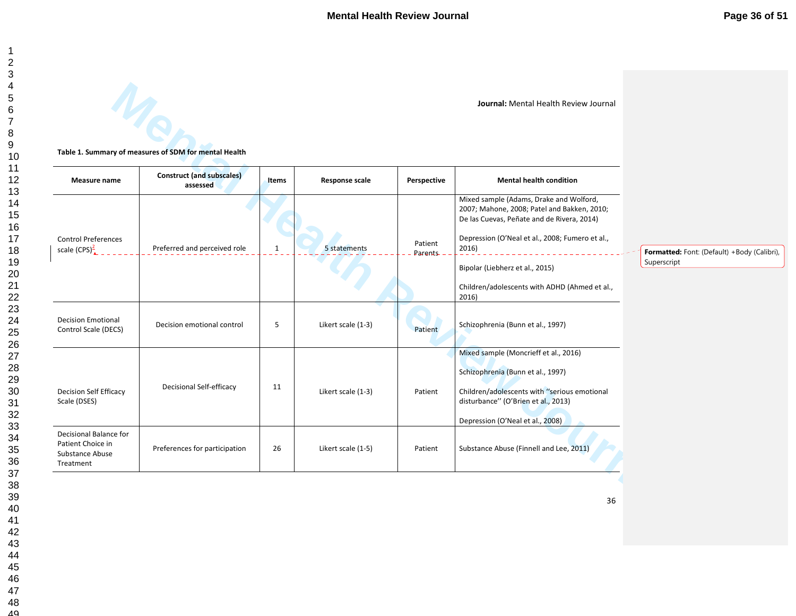|  | Table 1. Summary of measures of SDM for mental Health |  |  |
|--|-------------------------------------------------------|--|--|
|  |                                                       |  |  |

|                                                                             | Table 1. Summary of measures of SDM for mental Health |              |                       |                    |                                                                                                                                      |                                             |
|-----------------------------------------------------------------------------|-------------------------------------------------------|--------------|-----------------------|--------------------|--------------------------------------------------------------------------------------------------------------------------------------|---------------------------------------------|
| Measure name                                                                | <b>Construct (and subscales)</b><br>assessed          | <b>Items</b> | <b>Response scale</b> | Perspective        | <b>Mental health condition</b>                                                                                                       |                                             |
|                                                                             |                                                       |              |                       |                    | Mixed sample (Adams, Drake and Wolford,<br>2007; Mahone, 2008; Patel and Bakken, 2010;<br>De las Cuevas, Peñate and de Rivera, 2014) |                                             |
| <b>Control Preferences</b><br>scale $(CPS)^2$ ,                             | Preferred and perceived role                          | $\mathbf{1}$ | 5 statements          | Patient<br>Parents | Depression (O'Neal et al., 2008; Fumero et al.,<br>2016)                                                                             | Formatted: Font: (Default) +Body (Calibri), |
|                                                                             |                                                       |              |                       |                    | Bipolar (Liebherz et al., 2015)                                                                                                      | Superscript                                 |
|                                                                             |                                                       |              |                       |                    | Children/adolescents with ADHD (Ahmed et al.,<br>2016)                                                                               |                                             |
| <b>Decision Emotional</b><br>Control Scale (DECS)                           | Decision emotional control                            | 5            | Likert scale (1-3)    | Patient            | Schizophrenia (Bunn et al., 1997)                                                                                                    |                                             |
|                                                                             |                                                       |              |                       |                    | Mixed sample (Moncrieff et al., 2016)<br>Schizophrenia (Bunn et al., 1997)                                                           |                                             |
| <b>Decision Self Efficacy</b><br>Scale (DSES)                               | <b>Decisional Self-efficacy</b>                       | 11           | Likert scale (1-3)    | Patient            | Children/adolescents with "serious emotional<br>disturbance" (O'Brien et al., 2013)                                                  |                                             |
|                                                                             |                                                       |              |                       |                    | Depression (O'Neal et al., 2008)                                                                                                     |                                             |
| Decisional Balance for<br>Patient Choice in<br>Substance Abuse<br>Treatment | Preferences for participation                         | 26           | Likert scale (1-5)    | Patient            | Substance Abuse (Finnell and Lee, 2011)                                                                                              |                                             |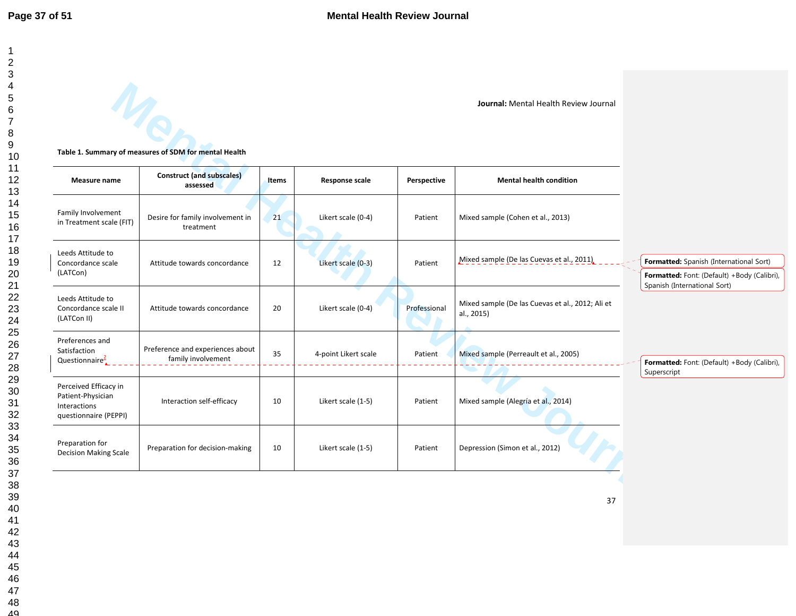|                                                                                     |                                                        |              |                       |              | Journal: Mental Health Review Journal                          |                                                                                        |
|-------------------------------------------------------------------------------------|--------------------------------------------------------|--------------|-----------------------|--------------|----------------------------------------------------------------|----------------------------------------------------------------------------------------|
|                                                                                     | Table 1. Summary of measures of SDM for mental Health  |              |                       |              |                                                                |                                                                                        |
| Measure name                                                                        | <b>Construct (and subscales)</b><br>assessed           | <b>Items</b> | <b>Response scale</b> | Perspective  | <b>Mental health condition</b>                                 |                                                                                        |
| Family Involvement<br>in Treatment scale (FIT)                                      | Desire for family involvement in<br>treatment          | 21           | Likert scale (0-4)    | Patient      | Mixed sample (Cohen et al., 2013)                              |                                                                                        |
| Leeds Attitude to<br>Concordance scale<br>(LATCon)                                  | Attitude towards concordance                           | 12           | Likert scale (0-3)    | Patient      | Mixed sample (De las Cuevas et al., 2011).                     | Formatted: Spanish (International Sort)<br>Formatted: Font: (Default) +Body (Calibri), |
| Leeds Attitude to<br>Concordance scale II<br>(LATCon II)                            | Attitude towards concordance                           | 20           | Likert scale (0-4)    | Professional | Mixed sample (De las Cuevas et al., 2012; Ali et<br>al., 2015) | Spanish (International Sort)                                                           |
| Preferences and<br>Satisfaction<br>Questionnaire $\frac{2}{4}$                      | Preference and experiences about<br>family involvement | 35           | 4-point Likert scale  | Patient      | Mixed sample (Perreault et al., 2005)                          | Formatted: Font: (Default) +Body (Calibri),                                            |
| Perceived Efficacy in<br>Patient-Physician<br>Interactions<br>questionnaire (PEPPI) | Interaction self-efficacy                              | 10           | Likert scale (1-5)    | Patient      | Mixed sample (Alegría et al., 2014)                            | Superscript                                                                            |
| Preparation for<br><b>Decision Making Scale</b>                                     | Preparation for decision-making                        | 10           | Likert scale (1-5)    | Patient      | Depression (Simon et al., 2012)                                |                                                                                        |
|                                                                                     |                                                        |              |                       |              | 37                                                             |                                                                                        |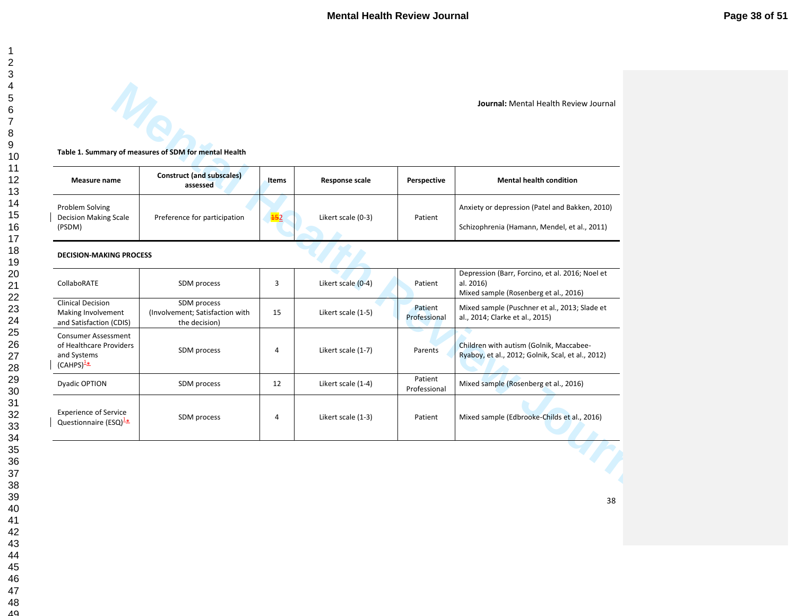|                                                                                               |                                                                         |                 |                    |                         | Journal: Mental Health Review Journal                                                                 |
|-----------------------------------------------------------------------------------------------|-------------------------------------------------------------------------|-----------------|--------------------|-------------------------|-------------------------------------------------------------------------------------------------------|
|                                                                                               | $\eta_{\rm c}$<br>Table 1. Summary of measures of SDM for mental Health |                 |                    |                         |                                                                                                       |
| Measure name                                                                                  | <b>Construct (and subscales)</b><br>assessed                            | <b>Items</b>    | Response scale     | Perspective             | <b>Mental health condition</b>                                                                        |
| Problem Solving<br><b>Decision Making Scale</b><br>(PSDM)                                     | Preference for participation                                            | $\frac{452}{5}$ | Likert scale (0-3) | Patient                 | Anxiety or depression (Patel and Bakken, 2010)<br>Schizophrenia (Hamann, Mendel, et al., 2011)        |
| <b>DECISION-MAKING PROCESS</b>                                                                |                                                                         |                 |                    |                         |                                                                                                       |
| CollaboRATE                                                                                   | SDM process                                                             | 3               | Likert scale (0-4) | Patient                 | Depression (Barr, Forcino, et al. 2016; Noel et<br>al. 2016)<br>Mixed sample (Rosenberg et al., 2016) |
| <b>Clinical Decision</b><br>Making Involvement<br>and Satisfaction (CDIS)                     | SDM process<br>(Involvement; Satisfaction with<br>the decision)         | 15              | Likert scale (1-5) | Patient<br>Professional | Mixed sample (Puschner et al., 2013; Slade et<br>al., 2014; Clarke et al., 2015)                      |
| <b>Consumer Assessment</b><br>of Healthcare Providers<br>and Systems<br>(CAHPS) $\frac{1}{2}$ | SDM process                                                             | $\overline{4}$  | Likert scale (1-7) | Parents                 | Children with autism (Golnik, Maccabee-<br>Ryaboy, et al., 2012; Golnik, Scal, et al., 2012)          |
| Dyadic OPTION                                                                                 | SDM process                                                             | 12              | Likert scale (1-4) | Patient<br>Professional | Mixed sample (Rosenberg et al., 2016)                                                                 |
| <b>Experience of Service</b><br>Questionnaire (ESQ) $\frac{1*}{2}$                            | SDM process                                                             | $\overline{4}$  | Likert scale (1-3) | Patient                 | Mixed sample (Edbrooke-Childs et al., 2016)                                                           |
|                                                                                               |                                                                         |                 |                    |                         |                                                                                                       |
|                                                                                               |                                                                         |                 |                    |                         | 38                                                                                                    |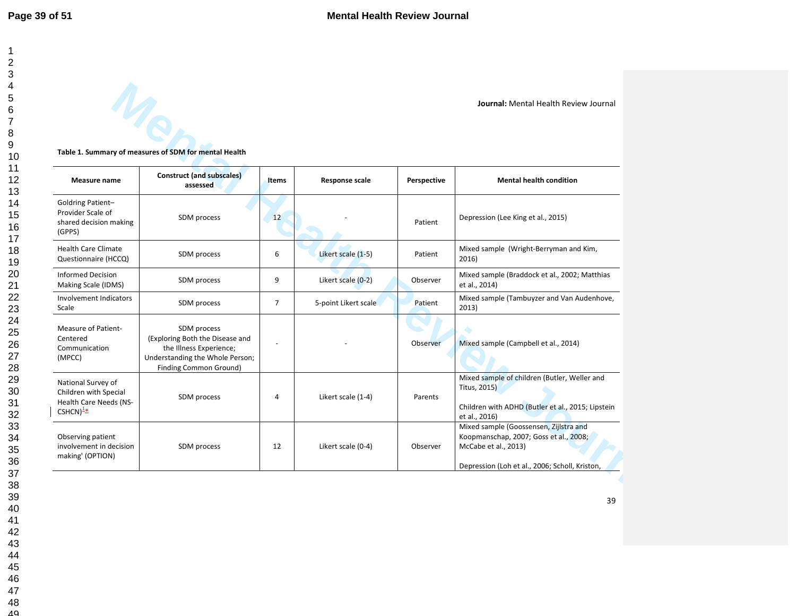|                                                                                                           | <b>VIR</b><br>Table 1. Summary of measures of SDM for mental Health                                                                    |                |                       |             |                                                                                                                                                            |
|-----------------------------------------------------------------------------------------------------------|----------------------------------------------------------------------------------------------------------------------------------------|----------------|-----------------------|-------------|------------------------------------------------------------------------------------------------------------------------------------------------------------|
| Measure name                                                                                              | <b>Construct (and subscales)</b><br>assessed                                                                                           | <b>Items</b>   | <b>Response scale</b> | Perspective | <b>Mental health condition</b>                                                                                                                             |
| Goldring Patient-<br>Provider Scale of<br>shared decision making<br>(GPPS)                                | SDM process                                                                                                                            | 12             |                       | Patient     | Depression (Lee King et al., 2015)                                                                                                                         |
| <b>Health Care Climate</b><br>Questionnaire (HCCQ)                                                        | SDM process                                                                                                                            | 6              | Likert scale (1-5)    | Patient     | Mixed sample (Wright-Berryman and Kim,<br>2016)                                                                                                            |
| <b>Informed Decision</b><br>Making Scale (IDMS)                                                           | SDM process                                                                                                                            | 9              | Likert scale (0-2)    | Observer    | Mixed sample (Braddock et al., 2002; Matthias<br>et al., 2014)                                                                                             |
| Involvement Indicators<br>Scale                                                                           | SDM process                                                                                                                            | $\overline{7}$ | 5-point Likert scale  | Patient     | Mixed sample (Tambuyzer and Van Audenhove,<br>2013)                                                                                                        |
| Measure of Patient-<br>Centered<br>Communication<br>(MPCC)                                                | SDM process<br>(Exploring Both the Disease and<br>the Illness Experience;<br>Understanding the Whole Person;<br>Finding Common Ground) |                |                       | Observer    | Mixed sample (Campbell et al., 2014)                                                                                                                       |
| National Survey of<br>Children with Special<br><b>Health Care Needs (NS-</b><br>$CSHCN)^{\underline{1*}}$ | SDM process                                                                                                                            | 4              | Likert scale (1-4)    | Parents     | Mixed sample of children (Butler, Weller and<br><b>Titus, 2015)</b><br>Children with ADHD (Butler et al., 2015; Lipstein<br>et al., 2016)                  |
| Observing patient<br>involvement in decision<br>making' (OPTION)                                          | SDM process                                                                                                                            | 12             | Likert scale (0-4)    | Observer    | Mixed sample (Goossensen, Zijlstra and<br>Koopmanschap, 2007; Goss et al., 2008;<br>McCabe et al., 2013)<br>Depression (Loh et al., 2006; Scholl, Kriston, |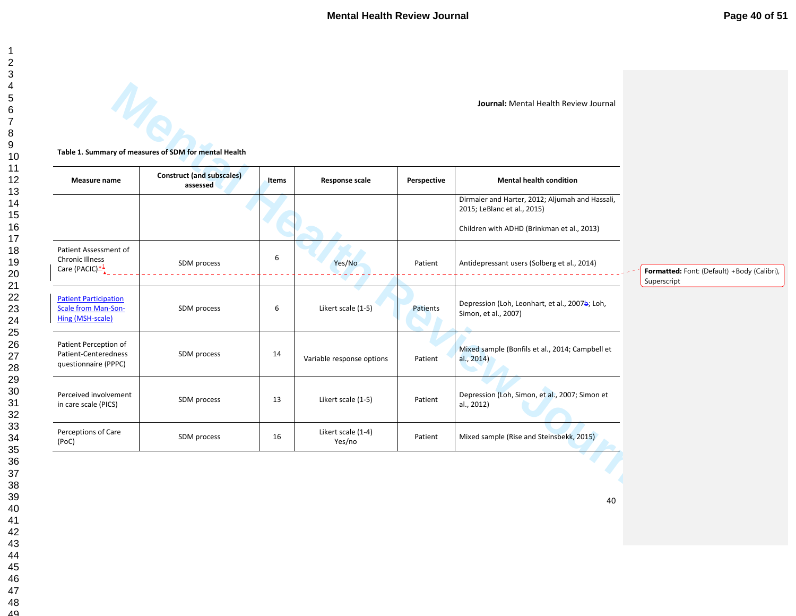| Table 1. Summary of measures of SDM for mental Health |  |  |  |
|-------------------------------------------------------|--|--|--|
|                                                       |  |  |  |

| Measure name                                                            | <b>Construct (and subscales)</b><br>assessed | Items | <b>Response scale</b>        | Perspective | <b>Mental health condition</b>                                                 |                                                           |
|-------------------------------------------------------------------------|----------------------------------------------|-------|------------------------------|-------------|--------------------------------------------------------------------------------|-----------------------------------------------------------|
|                                                                         |                                              |       |                              |             | Dirmaier and Harter, 2012; Aljumah and Hassali,<br>2015; LeBlanc et al., 2015) |                                                           |
|                                                                         |                                              |       |                              |             | Children with ADHD (Brinkman et al., 2013)                                     |                                                           |
| Patient Assessment of<br><b>Chronic Illness</b>                         | SDM process                                  | 6     | Yes/No                       | Patient     | Antidepressant users (Solberg et al., 2014)                                    |                                                           |
| Care (PACIC) $\frac{*1}{4}$                                             |                                              |       |                              |             |                                                                                | Formatted: Font: (Default) +Body (Calibri)<br>Superscript |
| <b>Patient Participation</b><br>Scale from Man-Son-<br>Hing (MSH-scale) | SDM process                                  | 6     | Likert scale (1-5)           | Patients    | Depression (Loh, Leonhart, et al., 2007b; Loh,<br>Simon, et al., 2007)         |                                                           |
| Patient Perception of<br>Patient-Centeredness<br>questionnaire (PPPC)   | SDM process                                  | 14    | Variable response options    | Patient     | Mixed sample (Bonfils et al., 2014; Campbell et<br>al., 2014)                  |                                                           |
| Perceived involvement<br>in care scale (PICS)                           | SDM process                                  | 13    | Likert scale (1-5)           | Patient     | Depression (Loh, Simon, et al., 2007; Simon et<br>al., 2012)                   |                                                           |
| Perceptions of Care<br>(PoC)                                            | SDM process                                  | 16    | Likert scale (1-4)<br>Yes/no | Patient     | Mixed sample (Rise and Steinsbekk, 2015)                                       |                                                           |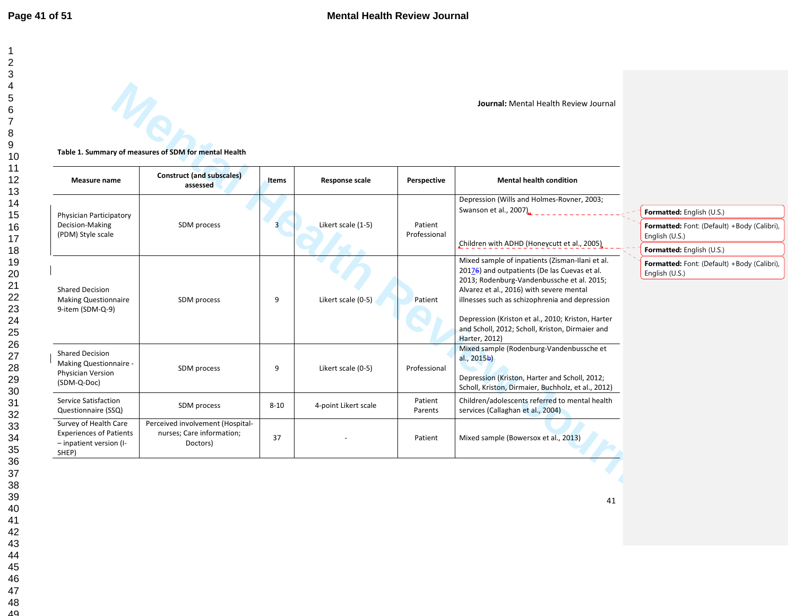**Mental Methal New Journal Metal Health Review Journal**<br> **Mental Health Review Journal Mental New Journal Mental New Yournal<br>
Mental Health Review Journal Mental New Yournal Report<br>
Mental New Yournal Response scile<br>
Menta Journal:** Mental Health Review Journal <sup>41</sup>**Table 1. Summary of measures of SDM for mental Health Measure name Construct (and subscales) assessed Items Response scale Perspective Mental health condition** Physician Participatory Decision-Making (PDM) Style scale SDM process 3 Likert scale (1-5) Patient Professional Depression (Wills and Holmes-Rovner, 2003; Swanson et al., 2007) Children with ADHD (Honeycutt et al., 2005) Shared Decision Making Questionnaire 9-item (SDM-Q-9) SDM process 9 Likert scale (0-5) Patient Mixed sample of inpatients (Zisman-Ilani et al. 20176) and outpatients (De las Cuevas et al. 2013; Rodenburg-Vandenbussche et al. 2015; Alvarez et al., 2016) with severe mental illnesses such as schizophrenia and depression Depression (Kriston et al., 2010; Kriston, Harter and Scholl, 2012; Scholl, Kriston, Dirmaier and Harter, 2012) Shared Decision Making Questionnaire - Physician Version (SDM-Q-Doc) SDM process 9 Likert scale (0-5) Professional Mixed sample (Rodenburg-Vandenbussche et al., 2015b) Depression (Kriston, Harter and Scholl, 2012; Scholl, Kriston, Dirmaier, Buchholz, et al., 2012) Service Satisfaction Questionnaire (SSQ) SDM process 8-10 4-point Likert scale Patient Parents Children/adolescents referred to mental health services (Callaghan et al., 2004) Survey of Health Care Experiences of Patients – inpatient version (I- SHEP) Perceived involvement (Hospital- nurses; Care information; Doctors) 37 - Patient Mixed sample (Bowersox et al., 2013) **Formatted:** English (U.S.) **Formatted:** Font: (Default) +Body (Calibri), English (U.S.) **Formatted:** English (U.S.) **Formatted:** Font: (Default) +Body (Calibri), English (U.S.)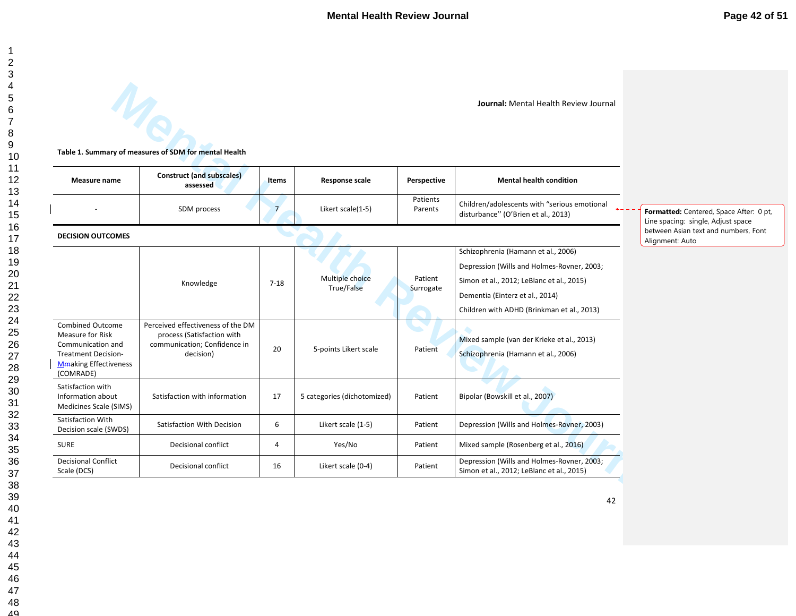|                                                                                                                                      |                                                                                                              |                |                               |                      | <b>Journal: Mental Health Review Journal</b>                                                                                                                                                                    |                                                                               |
|--------------------------------------------------------------------------------------------------------------------------------------|--------------------------------------------------------------------------------------------------------------|----------------|-------------------------------|----------------------|-----------------------------------------------------------------------------------------------------------------------------------------------------------------------------------------------------------------|-------------------------------------------------------------------------------|
|                                                                                                                                      | Table 1. Summary of measures of SDM for mental Health                                                        |                |                               |                      |                                                                                                                                                                                                                 |                                                                               |
| Measure name                                                                                                                         | <b>Construct (and subscales)</b><br>assessed                                                                 | <b>Items</b>   | <b>Response scale</b>         | Perspective          | <b>Mental health condition</b>                                                                                                                                                                                  |                                                                               |
|                                                                                                                                      | SDM process                                                                                                  | $\overline{7}$ | Likert scale(1-5)             | Patients<br>Parents  | Children/adolescents with "serious emotional<br>disturbance" (O'Brien et al., 2013)                                                                                                                             | Formatted: Centered, Space After: 0 pt,<br>Line spacing: single, Adjust space |
| <b>DECISION OUTCOMES</b>                                                                                                             |                                                                                                              |                |                               |                      |                                                                                                                                                                                                                 | between Asian text and numbers, Font<br>Alignment: Auto                       |
|                                                                                                                                      | Knowledge                                                                                                    | $7 - 18$       | Multiple choice<br>True/False | Patient<br>Surrogate | Schizophrenia (Hamann et al., 2006)<br>Depression (Wills and Holmes-Rovner, 2003;<br>Simon et al., 2012; LeBlanc et al., 2015)<br>Dementia (Einterz et al., 2014)<br>Children with ADHD (Brinkman et al., 2013) |                                                                               |
| <b>Combined Outcome</b><br>Measure for Risk<br>Communication and<br><b>Treatment Decision-</b><br>Mmaking Effectiveness<br>(COMRADE) | Perceived effectiveness of the DM<br>process (Satisfaction with<br>communication; Confidence in<br>decision) | 20             | 5-points Likert scale         | Patient              | Mixed sample (van der Krieke et al., 2013)<br>Schizophrenia (Hamann et al., 2006)                                                                                                                               |                                                                               |
| Satisfaction with<br>Information about<br>Medicines Scale (SIMS)                                                                     | Satisfaction with information                                                                                | 17             | 5 categories (dichotomized)   | Patient              | Bipolar (Bowskill et al., 2007)                                                                                                                                                                                 |                                                                               |
| Satisfaction With<br>Decision scale (SWDS)                                                                                           | Satisfaction With Decision                                                                                   | 6              | Likert scale (1-5)            | Patient              | Depression (Wills and Holmes-Rovner, 2003)                                                                                                                                                                      |                                                                               |
| <b>SURE</b>                                                                                                                          | Decisional conflict                                                                                          | 4              | Yes/No                        | Patient              | Mixed sample (Rosenberg et al., 2016)                                                                                                                                                                           |                                                                               |
| <b>Decisional Conflict</b><br>Scale (DCS)                                                                                            | Decisional conflict                                                                                          | 16             | Likert scale (0-4)            | Patient              | Depression (Wills and Holmes-Rovner, 2003;<br>Simon et al., 2012; LeBlanc et al., 2015)                                                                                                                         |                                                                               |
|                                                                                                                                      |                                                                                                              |                |                               |                      | 42                                                                                                                                                                                                              |                                                                               |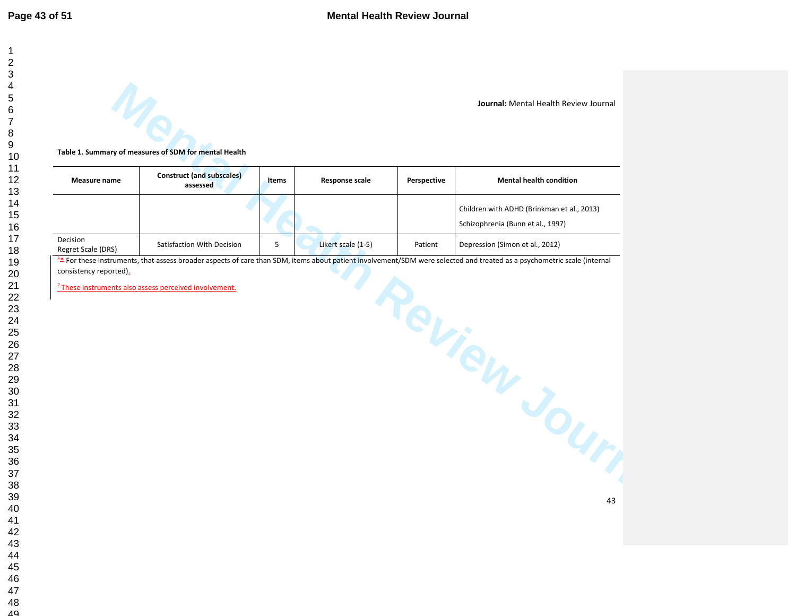|                                |                                                                   |              |                       |             | Journal: Mental Health Review Journal                                                                                                                                |
|--------------------------------|-------------------------------------------------------------------|--------------|-----------------------|-------------|----------------------------------------------------------------------------------------------------------------------------------------------------------------------|
|                                |                                                                   |              |                       |             |                                                                                                                                                                      |
|                                | Table 1. Summary of measures of SDM for mental Health             |              |                       |             |                                                                                                                                                                      |
| Measure name                   | <b>Construct (and subscales)</b><br>assessed                      | <b>Items</b> | <b>Response scale</b> | Perspective | <b>Mental health condition</b>                                                                                                                                       |
|                                |                                                                   |              |                       |             | Children with ADHD (Brinkman et al., 2013)<br>Schizophrenia (Bunn et al., 1997)                                                                                      |
| Decision<br>Regret Scale (DRS) | Satisfaction With Decision                                        | 5            | Likert scale (1-5)    | Patient     | Depression (Simon et al., 2012)                                                                                                                                      |
| consistency reported).         |                                                                   |              |                       |             | For these instruments, that assess broader aspects of care than SDM, items about patient involvement/SDM were selected and treated as a psychometric scale (internal |
|                                | <sup>2</sup> These instruments also assess perceived involvement. |              |                       |             |                                                                                                                                                                      |
|                                |                                                                   |              |                       |             |                                                                                                                                                                      |
|                                |                                                                   |              |                       |             |                                                                                                                                                                      |
|                                |                                                                   |              |                       |             |                                                                                                                                                                      |
|                                |                                                                   |              |                       |             |                                                                                                                                                                      |
|                                |                                                                   |              |                       |             | eview Jour                                                                                                                                                           |
|                                |                                                                   |              |                       |             |                                                                                                                                                                      |
|                                |                                                                   |              |                       |             | 43                                                                                                                                                                   |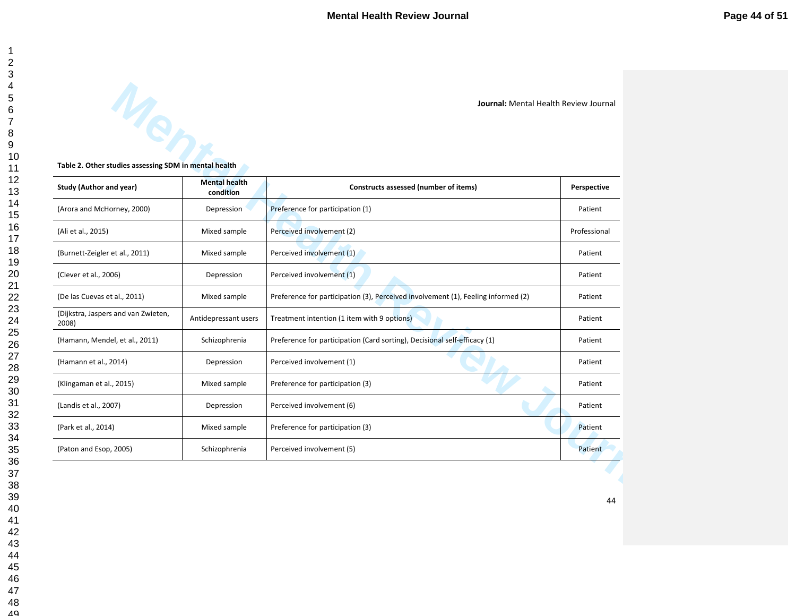| Table 2. Other studies assessing SDM in mental health |                                   |                                                                                   |              |
|-------------------------------------------------------|-----------------------------------|-----------------------------------------------------------------------------------|--------------|
| Study (Author and year)                               | <b>Mental health</b><br>condition | Constructs assessed (number of items)                                             | Perspective  |
| (Arora and McHorney, 2000)                            | Depression                        | Preference for participation (1)                                                  | Patient      |
| (Ali et al., 2015)                                    | Mixed sample                      | Perceived involvement (2)                                                         | Professional |
| (Burnett-Zeigler et al., 2011)                        | Mixed sample                      | Perceived involvement (1)                                                         | Patient      |
| (Clever et al., 2006)                                 | Depression                        | Perceived involvement (1)                                                         | Patient      |
| (De las Cuevas et al., 2011)                          | Mixed sample                      | Preference for participation (3), Perceived involvement (1), Feeling informed (2) | Patient      |
| (Dijkstra, Jaspers and van Zwieten,<br>2008)          | Antidepressant users              | Treatment intention (1 item with 9 options)                                       | Patient      |
| (Hamann, Mendel, et al., 2011)                        | Schizophrenia                     | Preference for participation (Card sorting), Decisional self-efficacy (1)         | Patient      |
| (Hamann et al., 2014)                                 | Depression                        | Perceived involvement (1)                                                         | Patient      |
| (Klingaman et al., 2015)                              | Mixed sample                      | Preference for participation (3)                                                  | Patient      |
| (Landis et al., 2007)                                 | Depression                        | Perceived involvement (6)                                                         | Patient      |
| (Park et al., 2014)                                   | Mixed sample                      | Preference for participation (3)                                                  | Patient      |
| (Paton and Esop, 2005)                                | Schizophrenia                     | Perceived involvement (5)                                                         | Patient      |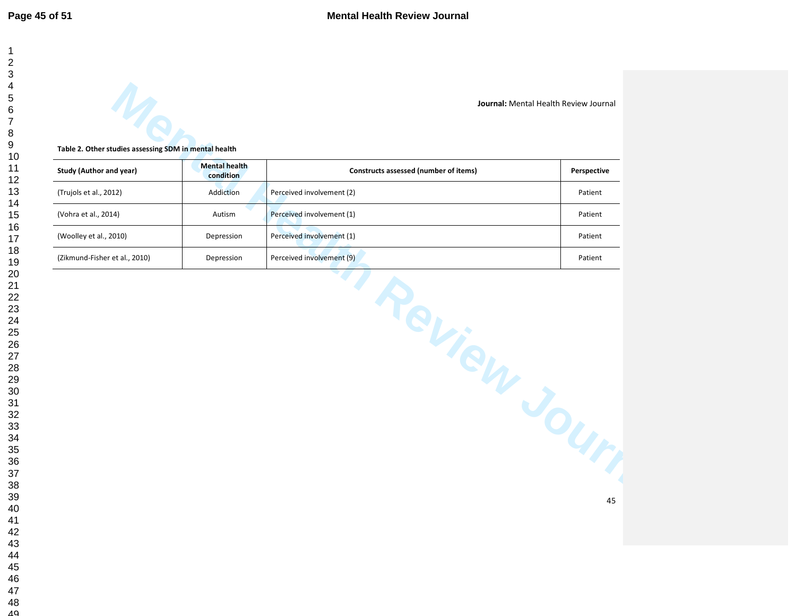| Table 2. Other studies assessing SDM in mental health |                                   |                                       |             |
|-------------------------------------------------------|-----------------------------------|---------------------------------------|-------------|
| <b>Study (Author and year)</b>                        | <b>Mental health</b><br>condition | Constructs assessed (number of items) | Perspective |
| (Trujols et al., 2012)                                | Addiction                         | Perceived involvement (2)             | Patient     |
| (Vohra et al., 2014)                                  | Autism                            | Perceived involvement (1)             | Patient     |
| (Woolley et al., 2010)                                | Depression                        | Perceived involvement (1)             | Patient     |
| (Zikmund-Fisher et al., 2010)                         | Depression                        | Perceived involvement (9)             | Patient     |
|                                                       |                                   |                                       |             |
|                                                       |                                   |                                       |             |
|                                                       |                                   | Review Journ                          |             |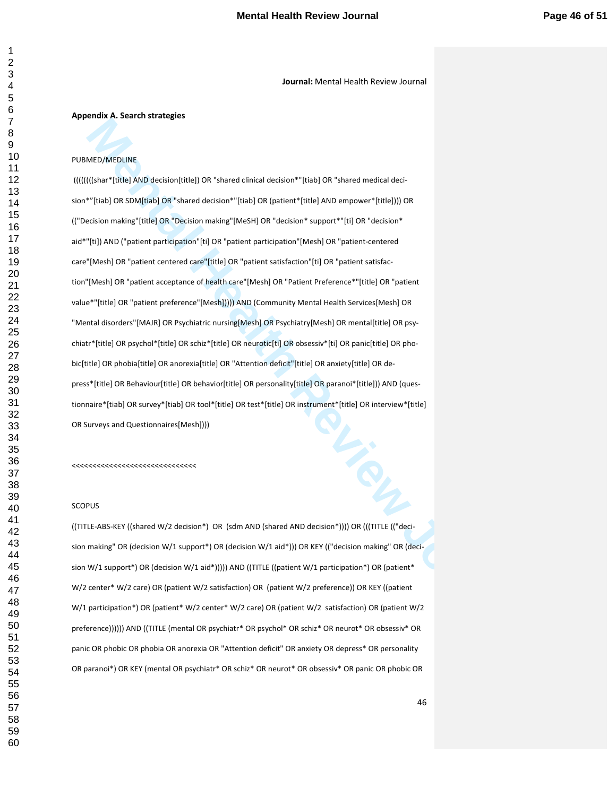#### **Appendix A. Search strategies**

# PUBMED/MEDLINE

**Mental And Selection William Schemes Containers** (Selection William Schemes Containers (Selection Microsoft Review Journal Containers (Selection Microsoft Review Journal Containers (Selection Microsoft Review Journal Cont ((((((((shar\*[title] AND decision[title]) OR "shared clinical decision\*"[tiab] OR "shared medical decision\*"[tiab] OR SDM[tiab] OR "shared decision\*"[tiab] OR (patient\*[title] AND empower\*[title]))) OR (("Decision making"[title] OR "Decision making"[MeSH] OR "decision\* support\*"[ti] OR "decision\* aid\*"[ti]) AND ("patient participation"[ti] OR "patient participation"[Mesh] OR "patient-centered care"[Mesh] OR "patient centered care"[title] OR "patient satisfaction"[ti] OR "patient satisfaction"[Mesh] OR "patient acceptance of health care"[Mesh] OR "Patient Preference\*"[title] OR "patient value\*"[title] OR "patient preference"[Mesh])))) AND (Community Mental Health Services[Mesh] OR "Mental disorders"[MAJR] OR Psychiatric nursing[Mesh] OR Psychiatry[Mesh] OR mental[title] OR psychiatr\*[title] OR psychol\*[title] OR schiz\*[title] OR neurotic[ti] OR obsessiv\*[ti] OR panic[title] OR phobic[title] OR phobia[title] OR anorexia[title] OR "Attention deficit"[title] OR anxiety[title] OR depress\*[title] OR Behaviour[title] OR behavior[title] OR personality[title] OR paranoi\*[title])) AND (questionnaire\*[tiab] OR survey\*[tiab] OR tool\*[title] OR test\*[title] OR instrument\*[title] OR interview\*[title] OR Surveys and Questionnaires[Mesh])))

<<<<<<<<<<<<<<<<<<<<<<<<<<<<<<

#### **SCOPUS**

((TITLE-ABS-KEY ((shared W/2 decision\*) OR (sdm AND (shared AND decision\*)))) OR (((TITLE (("decision making" OR (decision W/1 support\*) OR (decision W/1 aid\*))) OR KEY (("decision making" OR (decision W/1 support\*) OR (decision W/1 aid\*))))) AND ((TITLE ((patient W/1 participation\*) OR (patient\* W/2 center\* W/2 care) OR (patient W/2 satisfaction) OR (patient W/2 preference)) OR KEY ((patient W/1 participation\*) OR (patient\* W/2 center\* W/2 care) OR (patient W/2 satisfaction) OR (patient W/2 preference)))))) AND ((TITLE (mental OR psychiatr\* OR psychol\* OR schiz\* OR neurot\* OR obsessiv\* OR panic OR phobic OR phobia OR anorexia OR "Attention deficit" OR anxiety OR depress\* OR personality OR paranoi\*) OR KEY (mental OR psychiatr\* OR schiz\* OR neurot\* OR obsessiv\* OR panic OR phobic OR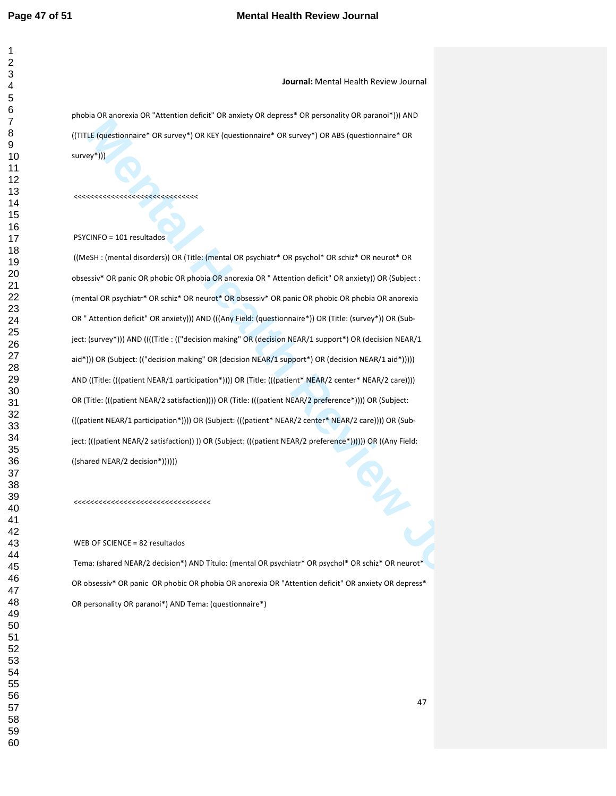**Journal:** Mental Health Review Journal

phobia OR anorexia OR "Attention deficit" OR anxiety OR depress\* OR personality OR paranoi\*))) AND ((TITLE (questionnaire\* OR survey\*) OR KEY (questionnaire\* OR survey\*) OR ABS (questionnaire\* OR survey\*)))

<<<<<<<<<<<<<<<<<<<<<<<<<<<<<<

PSYCINFO = 101 resultados

**Mental Health Review Work Detection and The University of New York Stephensier's One and New York Stephensier's One<br>
We Fully distributed Context Context Context Context Context Context Context Context Context Context Con**  ((MeSH : (mental disorders)) OR (Title: (mental OR psychiatr\* OR psychol\* OR schiz\* OR neurot\* OR obsessiv\* OR panic OR phobic OR phobia OR anorexia OR " Attention deficit" OR anxiety)) OR (Subject : (mental OR psychiatr\* OR schiz\* OR neurot\* OR obsessiv\* OR panic OR phobic OR phobia OR anorexia OR " Attention deficit" OR anxiety))) AND (((Any Field: (questionnaire\*)) OR (Title: (survey\*)) OR (Subject: (survey\*))) AND ((((Title : (("decision making" OR (decision NEAR/1 support\*) OR (decision NEAR/1 aid\*))) OR (Subject: (("decision making" OR (decision NEAR/1 support\*) OR (decision NEAR/1 aid\*))))) AND ((Title: (((patient NEAR/1 participation\*)))) OR (Title: (((patient\* NEAR/2 center\* NEAR/2 care)))) OR (Title: (((patient NEAR/2 satisfaction)))) OR (Title: (((patient NEAR/2 preference\*)))) OR (Subject: (((patient NEAR/1 participation\*)))) OR (Subject: (((patient\* NEAR/2 center\* NEAR/2 care)))) OR (Subject: (((patient NEAR/2 satisfaction)) )) OR (Subject: (((patient NEAR/2 preference\*)))))) OR ((Any Field: ((shared NEAR/2 decision\*))))))

<<<<<<<<<<<<<<<<<<<<<<<<<<<<<<<<<

WEB OF SCIENCE = 82 resultados

 Tema: (shared NEAR/2 decision\*) AND Título: (mental OR psychiatr\* OR psychol\* OR schiz\* OR neurot\* OR obsessiv\* OR panic OR phobic OR phobia OR anorexia OR "Attention deficit" OR anxiety OR depress\* OR personality OR paranoi\*) AND Tema: (questionnaire\*)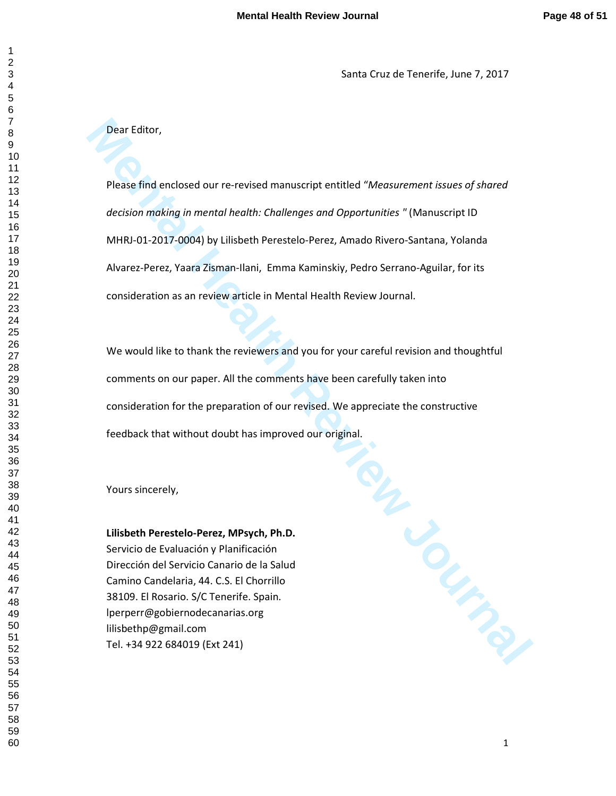Santa Cruz de Tenerife, June 7, 2017

# Dear Editor,

Please find enclosed our re-revised manuscript entitled "*Measurement issues of shared decision making in mental health: Challenges and Opportunities "* (Manuscript ID MHRJ-01-2017-0004) by Lilisbeth Perestelo-Perez, Amado Rivero-Santana, Yolanda Alvarez-Perez, Yaara Zisman-Ilani, Emma Kaminskiy, Pedro Serrano-Aguilar, for its consideration as an review article in Mental Health Review Journal.

We would like to thank the reviewers and you for your careful revision and thoughtful comments on our paper. All the comments have been carefully taken into consideration for the preparation of our revised. We appreciate the constructive feedback that without doubt has improved our original.

Yours sincerely,

# **Lilisbeth Perestelo-Perez, MPsych, Ph.D.**

Servicio de Evaluación y Planificación Dirección del Servicio Canario de la Salud Camino Candelaria, 44. C.S. El Chorrillo 38109. El Rosario. S/C Tenerife. Spain. lperperr@gobiernodecanarias.org lilisbethp@gmail.com Tel. +34 922 684019 (Ext 241)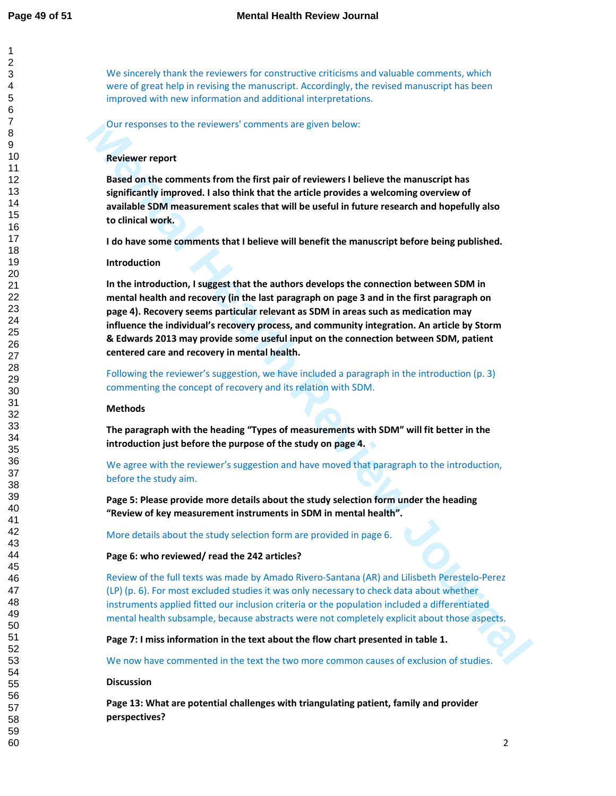We sincerely thank the reviewers for constructive criticisms and valuable comments, which were of great help in revising the manuscript. Accordingly, the revised manuscript has been improved with new information and additional interpretations.

Our responses to the reviewers' comments are given below:

# **Reviewer report**

**Based on the comments from the first pair of reviewers I believe the manuscript has significantly improved. I also think that the article provides a welcoming overview of available SDM measurement scales that will be useful in future research and hopefully also to clinical work.** 

**I do have some comments that I believe will benefit the manuscript before being published.** 

# **Introduction**

Our responses to the reviewers' comments are given below:<br> **Reviewer report**<br> **Reviewer report**<br> **Reviewer report**<br> **Reviewer report**<br> **Reviewer report**<br> **Reviewer report**<br> **Reviewer report**<br> **Reviewer in the first pair of In the introduction, I suggest that the authors develops the connection between SDM in mental health and recovery (in the last paragraph on page 3 and in the first paragraph on page 4). Recovery seems particular relevant as SDM in areas such as medication may influence the individual's recovery process, and community integration. An article by Storm & Edwards 2013 may provide some useful input on the connection between SDM, patient centered care and recovery in mental health.** 

Following the reviewer's suggestion, we have included a paragraph in the introduction (p. 3) commenting the concept of recovery and its relation with SDM.

# **Methods**

**The paragraph with the heading "Types of measurements with SDM" will fit better in the introduction just before the purpose of the study on page 4.** 

We agree with the reviewer's suggestion and have moved that paragraph to the introduction, before the study aim.

**Page 5: Please provide more details about the study selection form under the heading "Review of key measurement instruments in SDM in mental health".** 

More details about the study selection form are provided in page 6.

# **Page 6: who reviewed/ read the 242 articles?**

Review of the full texts was made by Amado Rivero-Santana (AR) and Lilisbeth Perestelo-Perez (LP) (p. 6). For most excluded studies it was only necessary to check data about whether instruments applied fitted our inclusion criteria or the population included a differentiated mental health subsample, because abstracts were not completely explicit about those aspects.

**Page 7: I miss information in the text about the flow chart presented in table 1.** 

We now have commented in the text the two more common causes of exclusion of studies.

# **Discussion**

**Page 13: What are potential challenges with triangulating patient, family and provider perspectives?**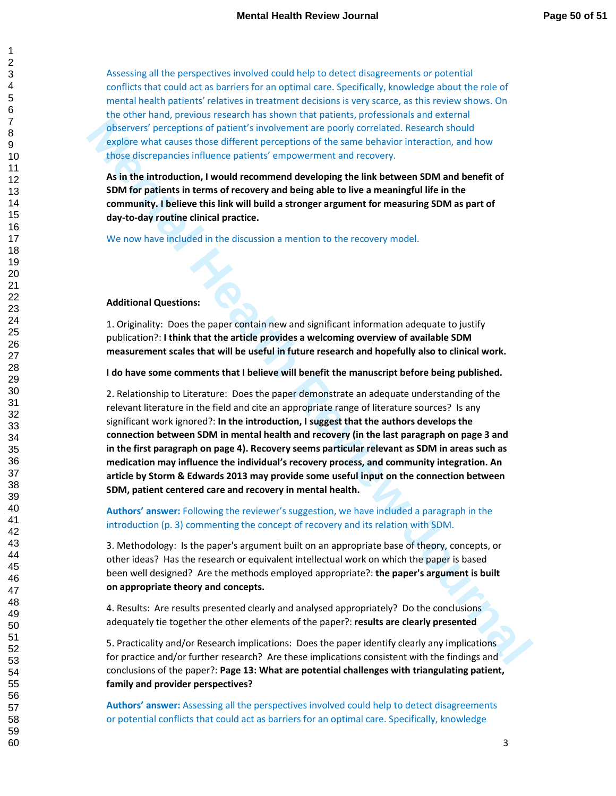Assessing all the perspectives involved could help to detect disagreements or potential conflicts that could act as barriers for an optimal care. Specifically, knowledge about the role of mental health patients' relatives in treatment decisions is very scarce, as this review shows. On the other hand, previous research has shown that patients, professionals and external observers' perceptions of patient's involvement are poorly correlated. Research should explore what causes those different perceptions of the same behavior interaction, and how those discrepancies influence patients' empowerment and recovery.

**As in the introduction, I would recommend developing the link between SDM and benefit of SDM for patients in terms of recovery and being able to live a meaningful life in the community. I believe this link will build a stronger argument for measuring SDM as part of day-to-day routine clinical practice.** 

We now have included in the discussion a mention to the recovery model.

# **Additional Questions:**

1. Originality: Does the paper contain new and significant information adequate to justify publication?: **I think that the article provides a welcoming overview of available SDM measurement scales that will be useful in future research and hopefully also to clinical work.** 

**I do have some comments that I believe will benefit the manuscript before being published.** 

**Conservation** and conservation of particle into the method in the paper is a method of the sime behalth an electronic school of the sime behalth Review and States of the sime behalth Review and States of the sime behalth 2. Relationship to Literature: Does the paper demonstrate an adequate understanding of the relevant literature in the field and cite an appropriate range of literature sources? Is any significant work ignored?: **In the introduction, I suggest that the authors develops the connection between SDM in mental health and recovery (in the last paragraph on page 3 and in the first paragraph on page 4). Recovery seems particular relevant as SDM in areas such as medication may influence the individual's recovery process, and community integration. An article by Storm & Edwards 2013 may provide some useful input on the connection between SDM, patient centered care and recovery in mental health.** 

**Authors' answer:** Following the reviewer's suggestion, we have included a paragraph in the introduction (p. 3) commenting the concept of recovery and its relation with SDM.

3. Methodology: Is the paper's argument built on an appropriate base of theory, concepts, or other ideas? Has the research or equivalent intellectual work on which the paper is based been well designed? Are the methods employed appropriate?: **the paper's argument is built on appropriate theory and concepts.** 

4. Results: Are results presented clearly and analysed appropriately? Do the conclusions adequately tie together the other elements of the paper?: **results are clearly presented**

5. Practicality and/or Research implications: Does the paper identify clearly any implications for practice and/or further research? Are these implications consistent with the findings and conclusions of the paper?: **Page 13: What are potential challenges with triangulating patient, family and provider perspectives?** 

**Authors' answer:** Assessing all the perspectives involved could help to detect disagreements or potential conflicts that could act as barriers for an optimal care. Specifically, knowledge